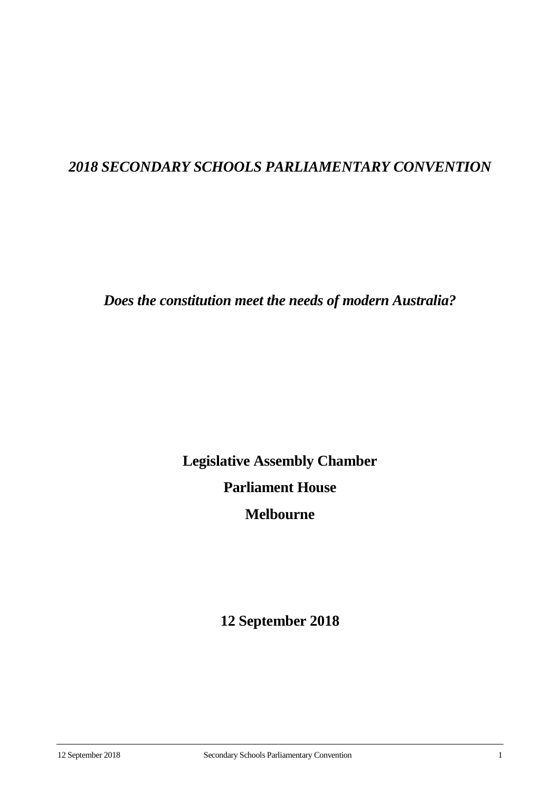# *2018 SECONDARY SCHOOLS PARLIAMENTARY CONVENTION*

*Does the constitution meet the needs of modern Australia?*

**Legislative Assembly Chamber Parliament House Melbourne**

**12 September 2018**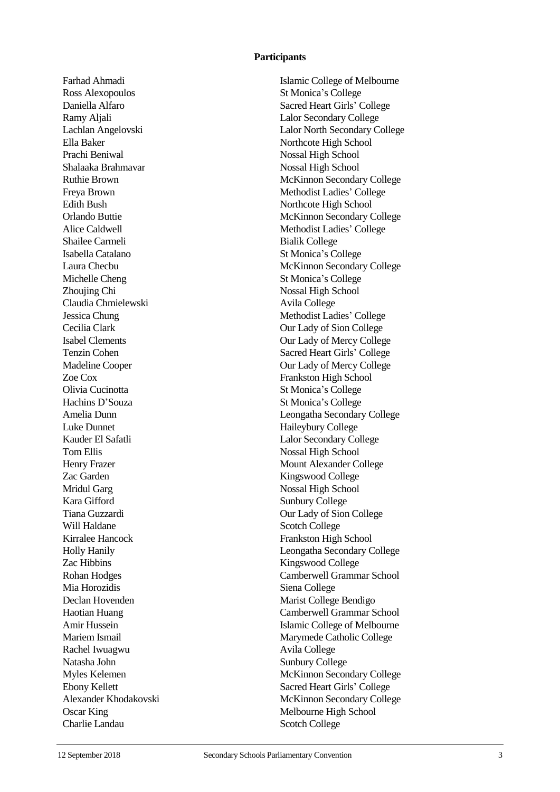#### **Participants**

Ross Alexopoulos Ella Baker Northcote High School Prachi Beniwal Nossal High School Shalaaka Brahmavar Nossal High School Edith Bush Northcote High School Shailee Carmeli Bialik College Isabella Catalano Michelle Cheng Zhoujing Chi Nossal High School Claudia Chmielewski Avila College Zoe Cox Frankston High School Olivia Cucinotta Hachins D Luke Dunnet Haileybury College Tom Ellis Nossal High School Zac Garden Kingswood College Mridul Garg Nossal High School Kara Gifford Sunbury College Will Haldane Scotch College Kirralee Hancock Frankston High School Zac Hibbins Kingswood College Mia Horozidis Siena College Declan Hovenden Marist College Bendigo Rachel Iwuagwu Avila College Natasha John Sunbury College Oscar King Melbourne High School Charlie Landau Scotch College

Farhad Ahmadi Islamic College of Melbourne St Monica's College Daniella Alfaro Sacred Heart Girls ' College Ramy Aljali Lalor Secondary College Lachlan Angelovski Lalor North Secondary College Ruthie Brown McKinnon Secondary College Freya Brown Methodist Ladies ' College Orlando Buttie McKinnon Secondary College Alice Caldwell Methodist Ladies' College St Monica's College Laura Checbu McKinnon Secondary College St Monica's College Jessica Chung Methodist Ladies' College Cecilia Clark Our Lady of Sion College Isabel Clements Our Lady of Mercy College Tenzin Cohen Sacred Heart Girls ' College Madeline Cooper **Our Lady of Mercy College** St Monica's College 'Souza St Monica's College Amelia Dunn Leongatha Secondary College Kauder El Safatli Lalor Secondary College Henry Frazer Mount Alexander College Tiana Guzzardi Our Lady of Sion College Holly Hanily Leongatha Secondary College Rohan Hodges Camberwell Grammar School Haotian Huang Camberwell Grammar School Amir Hussein Islamic College of Melbourne Mariem Ismail Marymede Catholic College Myles Kelemen McKinnon Secondary College Ebony Kellett Sacred Heart Girls' College Alexander Khodakovski McKinnon Secondary College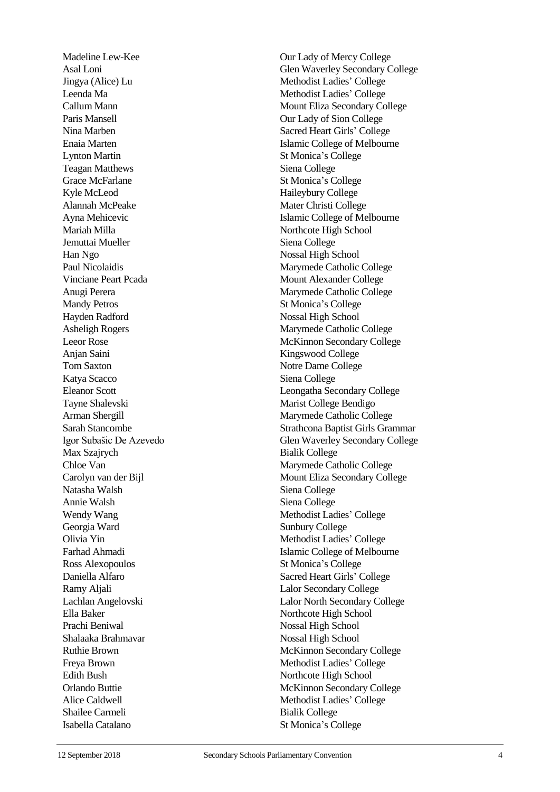Madeline Lew-Kee Jingya (Alice) Lu Lynton Martin Teagan Matthews Siena College Grace McFarlane Kyle McLeod Haileybury College Alannah McPeake Mater Christi College Mariah Milla Northcote High School Jemuttai Mueller Siena College Han Ngo Nossal High School **Mandy Petros** Hayden Radford Nossal High School Anjan Saini Kingswood College Tom Saxton Notre Dame College Katya Scacco Siena College Tayne Shalevski Marist College Bendigo Max Szajrych Bialik College Natasha Walsh Siena College Annie Walsh Siena College Georgia Ward Sunbury College Ross Alexopoulos Ramy Aljali Lalor Secondary College Ella Baker Northcote High School Prachi Beniwal Nossal High School Shalaaka Brahmavar Nossal High School Edith Bush Northcote High School Shailee Carmeli Bialik College Isabella Catalano

Our Lady of Mercy College Asal Loni Glen Waverley Secondary College Methodist Ladies' College Leenda Ma Methodist Ladies' College Callum Mann **Mount Eliza Secondary College** Paris Mansell **Our Lady of Sion College** Nina Marben Sacred Heart Girls ' College Enaia Marten **Islamic College of Melbourne** St Monica's College St Monica's College Ayna Mehicevic Islamic College of Melbourne Paul Nicolaidis Marymede Catholic College Vinciane Peart Pcada Mount Alexander College Anugi Perera Marymede Catholic College St Monica's College Asheligh Rogers Marymede Catholic College Leeor Rose McKinnon Secondary College Eleanor Scott Leongatha Secondary College Arman Shergill Marymede Catholic College Sarah Stancombe Strathcona Baptist Girls Grammar Igor Subašic De Azevedo Glen Waverley Secondary College Chloe Van Marymede Catholic College Carolyn van der Bijl Mount Eliza Secondary College Wendy Wang Methodist Ladies' College Olivia Yin Methodist Ladies' College Farhad Ahmadi Islamic College of Melbourne St Monica's College Daniella Alfaro Sacred Heart Girls ' College Lachlan Angelovski Lalor North Secondary College Ruthie Brown McKinnon Secondary College Freya Brown Methodist Ladies ' College Orlando Buttie McKinnon Secondary College Alice Caldwell Methodist Ladies' College St Monica's College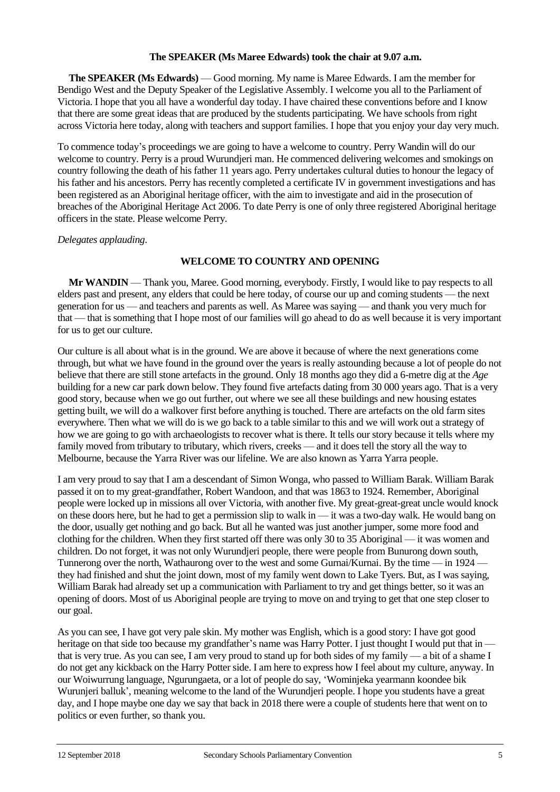### **The SPEAKER (Ms Maree Edwards) took the chair at 9.07 a.m.**

**The SPEAKER (Ms Edwards)** — Good morning. My name is Maree Edwards. I am the member for Bendigo West and the Deputy Speaker of the Legislative Assembly. I welcome you all to the Parliament of Victoria. I hope that you all have a wonderful day today. I have chaired these conventions before and I know that there are some great ideas that are produced by the students participating. We have schools from right across Victoria here today, along with teachers and support families. I hope that you enjoy your day very much.

To commence today's proceedings we are going to have a welcome to country. Perry Wandin will do our welcome to country. Perry is a proud Wurundjeri man. He commenced delivering welcomes and smokings on country following the death of his father 11 years ago. Perry undertakes cultural duties to honour the legacy of his father and his ancestors. Perry has recently completed a certificate IV in government investigations and has been registered as an Aboriginal heritage officer, with the aim to investigate and aid in the prosecution of breaches of the Aboriginal Heritage Act 2006. To date Perry is one of only three registered Aboriginal heritage officers in the state. Please welcome Perry.

*Delegates applauding*.

# **WELCOME TO COUNTRY AND OPENING**

**Mr WANDIN** — Thank you, Maree. Good morning, everybody. Firstly, I would like to pay respects to all elders past and present, any elders that could be here today, of course our up and coming students — the next generation for us — and teachers and parents as well. As Maree was saying — and thank you very much for that — that is something that I hope most of our families will go ahead to do as well because it is very important for us to get our culture.

Our culture is all about what is in the ground. We are above it because of where the next generations come through, but what we have found in the ground over the years is really astounding because a lot of people do not believe that there are still stone artefacts in the ground. Only 18 months ago they did a 6-metre dig at the *Age*  building for a new car park down below. They found five artefacts dating from 30 000 years ago. That is a very good story, because when we go out further, out where we see all these buildings and new housing estates getting built, we will do a walkover first before anything is touched. There are artefacts on the old farm sites everywhere. Then what we will do is we go back to a table similar to this and we will work out a strategy of how we are going to go with archaeologists to recover what is there. It tells our story because it tells where my family moved from tributary to tributary, which rivers, creeks — and it does tell the story all the way to Melbourne, because the Yarra River was our lifeline. We are also known as Yarra Yarra people.

I am very proud to say that I am a descendant of Simon Wonga, who passed to William Barak. William Barak passed it on to my great-grandfather, Robert Wandoon, and that was 1863 to 1924. Remember, Aboriginal people were locked up in missions all over Victoria, with another five. My great-great-great uncle would knock on these doors here, but he had to get a permission slip to walk in — it was a two-day walk. He would bang on the door, usually get nothing and go back. But all he wanted was just another jumper, some more food and clothing for the children. When they first started off there was only 30 to 35 Aboriginal — it was women and children. Do not forget, it was not only Wurundjeri people, there were people from Bunurong down south, Tunnerong over the north, Wathaurong over to the west and some Gurnai/Kurnai. By the time — in 1924 they had finished and shut the joint down, most of my family went down to Lake Tyers. But, as I was saying, William Barak had already set up a communication with Parliament to try and get things better, so it was an opening of doors. Most of us Aboriginal people are trying to move on and trying to get that one step closer to our goal.

As you can see, I have got very pale skin. My mother was English, which is a good story: I have got good heritage on that side too because my grandfather's name was Harry Potter. I just thought I would put that in that is very true. As you can see, I am very proud to stand up for both sides of my family — a bit of a shame I do not get any kickback on the Harry Potter side. I am here to express how I feel about my culture, anyway. In our Woiwurrung language, Ngurungaeta, or a lot of people do say, 'Wominjeka yearmann koondee bik Wurunjeri balluk', meaning welcome to the land of the Wurundjeri people. I hope you students have a great day, and I hope maybe one day we say that back in 2018 there were a couple of students here that went on to politics or even further, so thank you.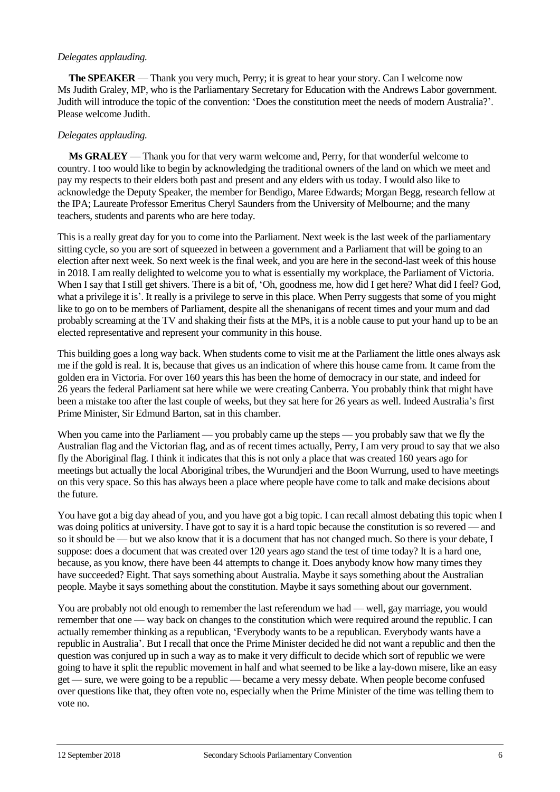## *Delegates applauding.*

**The SPEAKER** — Thank you very much, Perry; it is great to hear your story. Can I welcome now Ms Judith Graley, MP, who is the Parliamentary Secretary for Education with the Andrews Labor government. Judith will introduce the topic of the convention: 'Does the constitution meet the needs of modern Australia?'. Please welcome Judith.

#### *Delegates applauding.*

**Ms GRALEY** — Thank you for that very warm welcome and, Perry, for that wonderful welcome to country. I too would like to begin by acknowledging the traditional owners of the land on which we meet and pay my respects to their elders both past and present and any elders with us today. I would also like to acknowledge the Deputy Speaker, the member for Bendigo, Maree Edwards; Morgan Begg, research fellow at the IPA; Laureate Professor Emeritus Cheryl Saunders from the University of Melbourne; and the many teachers, students and parents who are here today.

This is a really great day for you to come into the Parliament. Next week is the last week of the parliamentary sitting cycle, so you are sort of squeezed in between a government and a Parliament that will be going to an election after next week. So next week is the final week, and you are here in the second-last week of this house in 2018. I am really delighted to welcome you to what is essentially my workplace, the Parliament of Victoria. When I say that I still get shivers. There is a bit of, 'Oh, goodness me, how did I get here? What did I feel? God, what a privilege it is'. It really is a privilege to serve in this place. When Perry suggests that some of you might like to go on to be members of Parliament, despite all the shenanigans of recent times and your mum and dad probably screaming at the TV and shaking their fists at the MPs, it is a noble cause to put your hand up to be an elected representative and represent your community in this house.

This building goes a long way back. When students come to visit me at the Parliament the little ones always ask me if the gold is real. It is, because that gives us an indication of where this house came from. It came from the golden era in Victoria. For over 160 years this has been the home of democracy in our state, and indeed for 26 years the federal Parliament sat here while we were creating Canberra. You probably think that might have been a mistake too after the last couple of weeks, but they sat here for 26 years as well. Indeed Australia's first Prime Minister, Sir Edmund Barton, sat in this chamber.

When you came into the Parliament — you probably came up the steps — you probably saw that we fly the Australian flag and the Victorian flag, and as of recent times actually, Perry, I am very proud to say that we also fly the Aboriginal flag. I think it indicates that this is not only a place that was created 160 years ago for meetings but actually the local Aboriginal tribes, the Wurundjeri and the Boon Wurrung, used to have meetings on this very space. So this has always been a place where people have come to talk and make decisions about the future.

You have got a big day ahead of you, and you have got a big topic. I can recall almost debating this topic when I was doing politics at university. I have got to say it is a hard topic because the constitution is so revered — and so it should be — but we also know that it is a document that has not changed much. So there is your debate, I suppose: does a document that was created over 120 years ago stand the test of time today? It is a hard one, because, as you know, there have been 44 attempts to change it. Does anybody know how many times they have succeeded? Eight. That says something about Australia. Maybe it says something about the Australian people. Maybe it says something about the constitution. Maybe it says something about our government.

You are probably not old enough to remember the last referendum we had — well, gay marriage, you would remember that one — way back on changes to the constitution which were required around the republic. I can actually remember thinking as a republican, 'Everybody wants to be a republican. Everybody wants have a republic in Australia'. But I recall that once the Prime Minister decided he did not want a republic and then the question was conjured up in such a way as to make it very difficult to decide which sort of republic we were going to have it split the republic movement in half and what seemed to be like a lay-down misere, like an easy get — sure, we were going to be a republic — became a very messy debate. When people become confused over questions like that, they often vote no, especially when the Prime Minister of the time was telling them to vote no.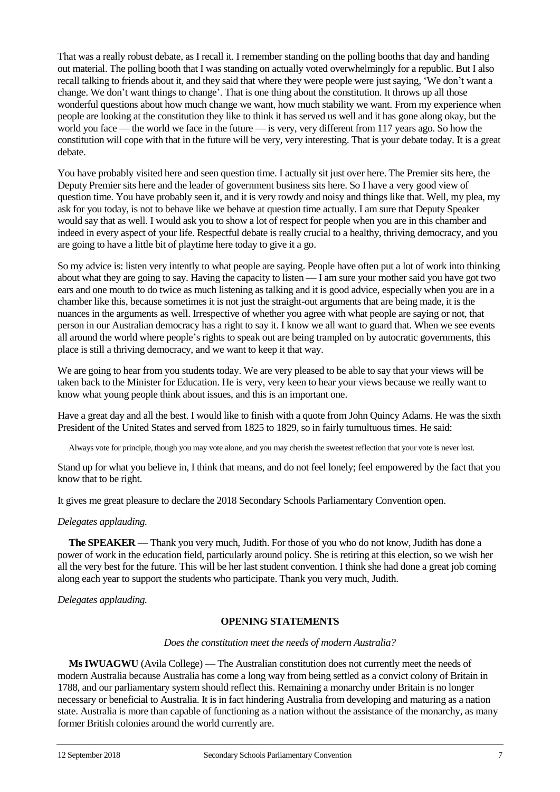That was a really robust debate, as I recall it. I remember standing on the polling booths that day and handing out material. The polling booth that I was standing on actually voted overwhelmingly for a republic. But I also recall talking to friends about it, and they said that where they were people were just saying, 'We don't want a change. We don't want things to change'. That is one thing about the constitution. It throws up all those wonderful questions about how much change we want, how much stability we want. From my experience when people are looking at the constitution they like to think it has served us well and it has gone along okay, but the world you face — the world we face in the future — is very, very different from 117 years ago. So how the constitution will cope with that in the future will be very, very interesting. That is your debate today. It is a great debate.

You have probably visited here and seen question time. I actually sit just over here. The Premier sits here, the Deputy Premier sits here and the leader of government business sits here. So I have a very good view of question time. You have probably seen it, and it is very rowdy and noisy and things like that. Well, my plea, my ask for you today, is not to behave like we behave at question time actually. I am sure that Deputy Speaker would say that as well. I would ask you to show a lot of respect for people when you are in this chamber and indeed in every aspect of your life. Respectful debate is really crucial to a healthy, thriving democracy, and you are going to have a little bit of playtime here today to give it a go.

So my advice is: listen very intently to what people are saying. People have often put a lot of work into thinking about what they are going to say. Having the capacity to listen — I am sure your mother said you have got two ears and one mouth to do twice as much listening as talking and it is good advice, especially when you are in a chamber like this, because sometimes it is not just the straight-out arguments that are being made, it is the nuances in the arguments as well. Irrespective of whether you agree with what people are saying or not, that person in our Australian democracy has a right to say it. I know we all want to guard that. When we see events all around the world where people's rights to speak out are being trampled on by autocratic governments, this place is still a thriving democracy, and we want to keep it that way.

We are going to hear from you students today. We are very pleased to be able to say that your views will be taken back to the Minister for Education. He is very, very keen to hear your views because we really want to know what young people think about issues, and this is an important one.

Have a great day and all the best. I would like to finish with a quote from John Quincy Adams. He was the sixth President of the United States and served from 1825 to 1829, so in fairly tumultuous times. He said:

Always vote for principle, though you may vote alone, and you may cherish the sweetest reflection that your vote is never lost.

Stand up for what you believe in, I think that means, and do not feel lonely; feel empowered by the fact that you know that to be right.

It gives me great pleasure to declare the 2018 Secondary Schools Parliamentary Convention open.

#### *Delegates applauding.*

**The SPEAKER** — Thank you very much, Judith. For those of you who do not know, Judith has done a power of work in the education field, particularly around policy. She is retiring at this election, so we wish her all the very best for the future. This will be her last student convention. I think she had done a great job coming along each year to support the students who participate. Thank you very much, Judith.

*Delegates applauding.*

#### **OPENING STATEMENTS**

## *Does the constitution meet the needs of modern Australia?*

**Ms IWUAGWU** (Avila College) — The Australian constitution does not currently meet the needs of modern Australia because Australia has come a long way from being settled as a convict colony of Britain in 1788, and our parliamentary system should reflect this. Remaining a monarchy under Britain is no longer necessary or beneficial to Australia. It is in fact hindering Australia from developing and maturing as a nation state. Australia is more than capable of functioning as a nation without the assistance of the monarchy, as many former British colonies around the world currently are.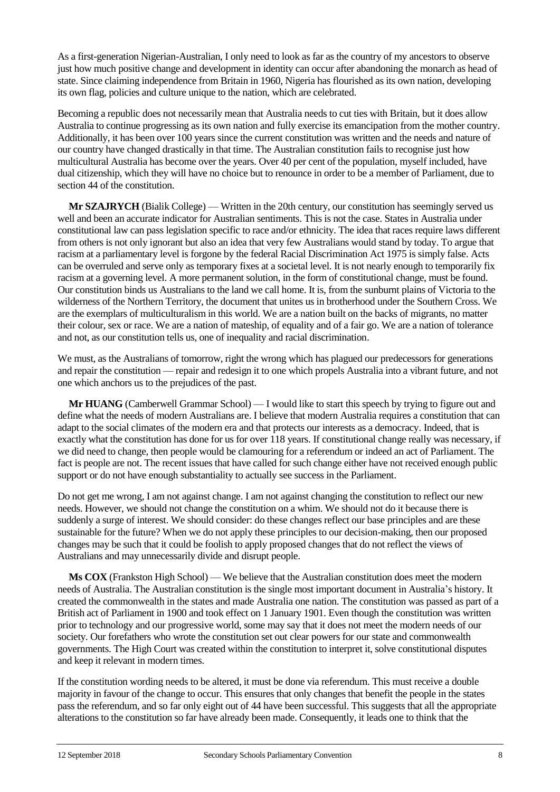As a first-generation Nigerian-Australian, I only need to look as far as the country of my ancestors to observe just how much positive change and development in identity can occur after abandoning the monarch as head of state. Since claiming independence from Britain in 1960, Nigeria has flourished as its own nation, developing its own flag, policies and culture unique to the nation, which are celebrated.

Becoming a republic does not necessarily mean that Australia needs to cut ties with Britain, but it does allow Australia to continue progressing as its own nation and fully exercise its emancipation from the mother country. Additionally, it has been over 100 years since the current constitution was written and the needs and nature of our country have changed drastically in that time. The Australian constitution fails to recognise just how multicultural Australia has become over the years. Over 40 per cent of the population, myself included, have dual citizenship, which they will have no choice but to renounce in order to be a member of Parliament, due to section 44 of the constitution.

**Mr SZAJRYCH** (Bialik College) — Written in the 20th century, our constitution has seemingly served us well and been an accurate indicator for Australian sentiments. This is not the case. States in Australia under constitutional law can pass legislation specific to race and/or ethnicity. The idea that races require laws different from others is not only ignorant but also an idea that very few Australians would stand by today. To argue that racism at a parliamentary level is forgone by the federal Racial Discrimination Act 1975 is simply false. Acts can be overruled and serve only as temporary fixes at a societal level. It is not nearly enough to temporarily fix racism at a governing level. A more permanent solution, in the form of constitutional change, must be found. Our constitution binds us Australians to the land we call home. It is, from the sunburnt plains of Victoria to the wilderness of the Northern Territory, the document that unites us in brotherhood under the Southern Cross. We are the exemplars of multiculturalism in this world. We are a nation built on the backs of migrants, no matter their colour, sex or race. We are a nation of mateship, of equality and of a fair go. We are a nation of tolerance and not, as our constitution tells us, one of inequality and racial discrimination.

We must, as the Australians of tomorrow, right the wrong which has plagued our predecessors for generations and repair the constitution — repair and redesign it to one which propels Australia into a vibrant future, and not one which anchors us to the prejudices of the past.

**Mr HUANG** (Camberwell Grammar School) — I would like to start this speech by trying to figure out and define what the needs of modern Australians are. I believe that modern Australia requires a constitution that can adapt to the social climates of the modern era and that protects our interests as a democracy. Indeed, that is exactly what the constitution has done for us for over 118 years. If constitutional change really was necessary, if we did need to change, then people would be clamouring for a referendum or indeed an act of Parliament. The fact is people are not. The recent issues that have called for such change either have not received enough public support or do not have enough substantiality to actually see success in the Parliament.

Do not get me wrong, I am not against change. I am not against changing the constitution to reflect our new needs. However, we should not change the constitution on a whim. We should not do it because there is suddenly a surge of interest. We should consider: do these changes reflect our base principles and are these sustainable for the future? When we do not apply these principles to our decision-making, then our proposed changes may be such that it could be foolish to apply proposed changes that do not reflect the views of Australians and may unnecessarily divide and disrupt people.

**Ms COX** (Frankston High School) — We believe that the Australian constitution does meet the modern needs of Australia. The Australian constitution is the single most important document in Australia's history. It created the commonwealth in the states and made Australia one nation. The constitution was passed as part of a British act of Parliament in 1900 and took effect on 1 January 1901. Even though the constitution was written prior to technology and our progressive world, some may say that it does not meet the modern needs of our society. Our forefathers who wrote the constitution set out clear powers for our state and commonwealth governments. The High Court was created within the constitution to interpret it, solve constitutional disputes and keep it relevant in modern times.

If the constitution wording needs to be altered, it must be done via referendum. This must receive a double majority in favour of the change to occur. This ensures that only changes that benefit the people in the states pass the referendum, and so far only eight out of 44 have been successful. This suggests that all the appropriate alterations to the constitution so far have already been made. Consequently, it leads one to think that the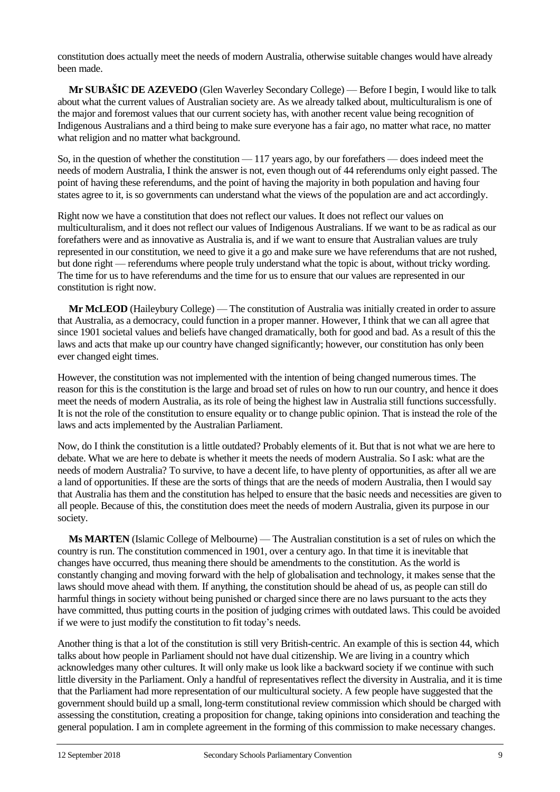constitution does actually meet the needs of modern Australia, otherwise suitable changes would have already been made.

**Mr SUBAŠIC DE AZEVEDO** (Glen Waverley Secondary College) — Before I begin, I would like to talk about what the current values of Australian society are. As we already talked about, multiculturalism is one of the major and foremost values that our current society has, with another recent value being recognition of Indigenous Australians and a third being to make sure everyone has a fair ago, no matter what race, no matter what religion and no matter what background.

So, in the question of whether the constitution — 117 years ago, by our forefathers — does indeed meet the needs of modern Australia, I think the answer is not, even though out of 44 referendums only eight passed. The point of having these referendums, and the point of having the majority in both population and having four states agree to it, is so governments can understand what the views of the population are and act accordingly.

Right now we have a constitution that does not reflect our values. It does not reflect our values on multiculturalism, and it does not reflect our values of Indigenous Australians. If we want to be as radical as our forefathers were and as innovative as Australia is, and if we want to ensure that Australian values are truly represented in our constitution, we need to give it a go and make sure we have referendums that are not rushed, but done right — referendums where people truly understand what the topic is about, without tricky wording. The time for us to have referendums and the time for us to ensure that our values are represented in our constitution is right now.

**Mr McLEOD** (Haileybury College) — The constitution of Australia was initially created in order to assure that Australia, as a democracy, could function in a proper manner. However, I think that we can all agree that since 1901 societal values and beliefs have changed dramatically, both for good and bad. As a result of this the laws and acts that make up our country have changed significantly; however, our constitution has only been ever changed eight times.

However, the constitution was not implemented with the intention of being changed numerous times. The reason for this is the constitution is the large and broad set of rules on how to run our country, and hence it does meet the needs of modern Australia, as its role of being the highest law in Australia still functions successfully. It is not the role of the constitution to ensure equality or to change public opinion. That is instead the role of the laws and acts implemented by the Australian Parliament.

Now, do I think the constitution is a little outdated? Probably elements of it. But that is not what we are here to debate. What we are here to debate is whether it meets the needs of modern Australia. So I ask: what are the needs of modern Australia? To survive, to have a decent life, to have plenty of opportunities, as after all we are a land of opportunities. If these are the sorts of things that are the needs of modern Australia, then I would say that Australia has them and the constitution has helped to ensure that the basic needs and necessities are given to all people. Because of this, the constitution does meet the needs of modern Australia, given its purpose in our society.

**Ms MARTEN** (Islamic College of Melbourne) — The Australian constitution is a set of rules on which the country is run. The constitution commenced in 1901, over a century ago. In that time it is inevitable that changes have occurred, thus meaning there should be amendments to the constitution. As the world is constantly changing and moving forward with the help of globalisation and technology, it makes sense that the laws should move ahead with them. If anything, the constitution should be ahead of us, as people can still do harmful things in society without being punished or charged since there are no laws pursuant to the acts they have committed, thus putting courts in the position of judging crimes with outdated laws. This could be avoided if we were to just modify the constitution to fit today's needs.

Another thing is that a lot of the constitution is still very British-centric. An example of this is section 44, which talks about how people in Parliament should not have dual citizenship. We are living in a country which acknowledges many other cultures. It will only make us look like a backward society if we continue with such little diversity in the Parliament. Only a handful of representatives reflect the diversity in Australia, and it is time that the Parliament had more representation of our multicultural society. A few people have suggested that the government should build up a small, long-term constitutional review commission which should be charged with assessing the constitution, creating a proposition for change, taking opinions into consideration and teaching the general population. I am in complete agreement in the forming of this commission to make necessary changes.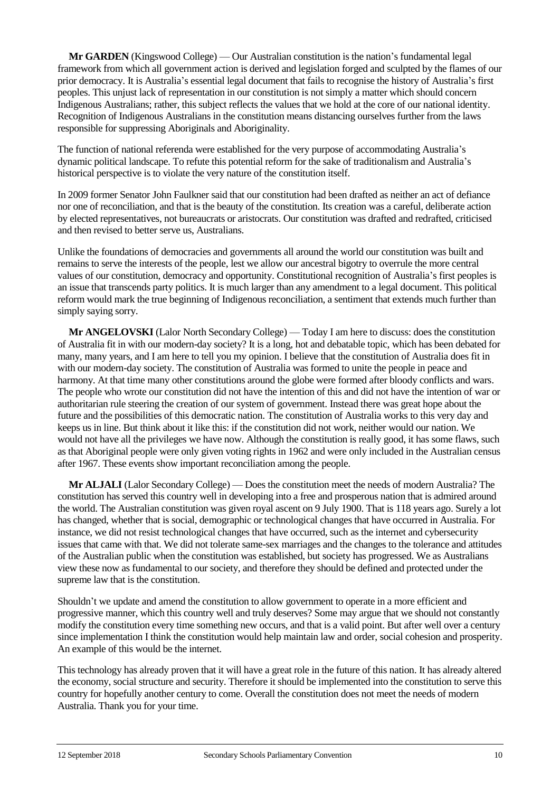**Mr GARDEN** (Kingswood College) — Our Australian constitution is the nation's fundamental legal framework from which all government action is derived and legislation forged and sculpted by the flames of our prior democracy. It is Australia's essential legal document that fails to recognise the history of Australia's first peoples. This unjust lack of representation in our constitution is not simply a matter which should concern Indigenous Australians; rather, this subject reflects the values that we hold at the core of our national identity. Recognition of Indigenous Australians in the constitution means distancing ourselves further from the laws responsible for suppressing Aboriginals and Aboriginality.

The function of national referenda were established for the very purpose of accommodating Australia's dynamic political landscape. To refute this potential reform for the sake of traditionalism and Australia's historical perspective is to violate the very nature of the constitution itself.

In 2009 former Senator John Faulkner said that our constitution had been drafted as neither an act of defiance nor one of reconciliation, and that is the beauty of the constitution. Its creation was a careful, deliberate action by elected representatives, not bureaucrats or aristocrats. Our constitution was drafted and redrafted, criticised and then revised to better serve us, Australians.

Unlike the foundations of democracies and governments all around the world our constitution was built and remains to serve the interests of the people, lest we allow our ancestral bigotry to overrule the more central values of our constitution, democracy and opportunity. Constitutional recognition of Australia's first peoples is an issue that transcends party politics. It is much larger than any amendment to a legal document. This political reform would mark the true beginning of Indigenous reconciliation, a sentiment that extends much further than simply saying sorry.

**Mr ANGELOVSKI** (Lalor North Secondary College) — Today I am here to discuss: does the constitution of Australia fit in with our modern-day society? It is a long, hot and debatable topic, which has been debated for many, many years, and I am here to tell you my opinion. I believe that the constitution of Australia does fit in with our modern-day society. The constitution of Australia was formed to unite the people in peace and harmony. At that time many other constitutions around the globe were formed after bloody conflicts and wars. The people who wrote our constitution did not have the intention of this and did not have the intention of war or authoritarian rule steering the creation of our system of government. Instead there was great hope about the future and the possibilities of this democratic nation. The constitution of Australia works to this very day and keeps us in line. But think about it like this: if the constitution did not work, neither would our nation. We would not have all the privileges we have now. Although the constitution is really good, it has some flaws, such as that Aboriginal people were only given voting rights in 1962 and were only included in the Australian census after 1967. These events show important reconciliation among the people.

**Mr ALJALI** (Lalor Secondary College) — Does the constitution meet the needs of modern Australia? The constitution has served this country well in developing into a free and prosperous nation that is admired around the world. The Australian constitution was given royal ascent on 9 July 1900. That is 118 years ago. Surely a lot has changed, whether that is social, demographic or technological changes that have occurred in Australia. For instance, we did not resist technological changes that have occurred, such as the internet and cybersecurity issues that came with that. We did not tolerate same-sex marriages and the changes to the tolerance and attitudes of the Australian public when the constitution was established, but society has progressed. We as Australians view these now as fundamental to our society, and therefore they should be defined and protected under the supreme law that is the constitution.

Shouldn't we update and amend the constitution to allow government to operate in a more efficient and progressive manner, which this country well and truly deserves? Some may argue that we should not constantly modify the constitution every time something new occurs, and that is a valid point. But after well over a century since implementation I think the constitution would help maintain law and order, social cohesion and prosperity. An example of this would be the internet.

This technology has already proven that it will have a great role in the future of this nation. It has already altered the economy, social structure and security. Therefore it should be implemented into the constitution to serve this country for hopefully another century to come. Overall the constitution does not meet the needs of modern Australia. Thank you for your time.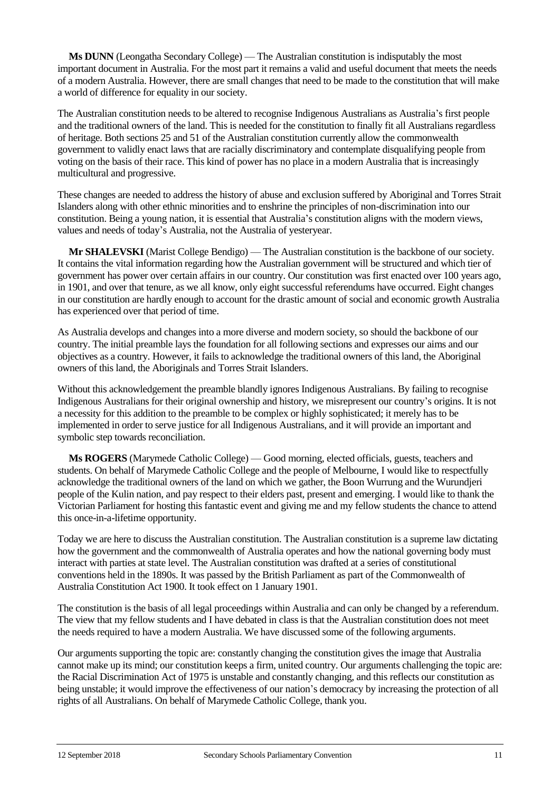**Ms DUNN** (Leongatha Secondary College) — The Australian constitution is indisputably the most important document in Australia. For the most part it remains a valid and useful document that meets the needs of a modern Australia. However, there are small changes that need to be made to the constitution that will make a world of difference for equality in our society.

The Australian constitution needs to be altered to recognise Indigenous Australians as Australia's first people and the traditional owners of the land. This is needed for the constitution to finally fit all Australians regardless of heritage. Both sections 25 and 51 of the Australian constitution currently allow the commonwealth government to validly enact laws that are racially discriminatory and contemplate disqualifying people from voting on the basis of their race. This kind of power has no place in a modern Australia that is increasingly multicultural and progressive.

These changes are needed to address the history of abuse and exclusion suffered by Aboriginal and Torres Strait Islanders along with other ethnic minorities and to enshrine the principles of non-discrimination into our constitution. Being a young nation, it is essential that Australia's constitution aligns with the modern views, values and needs of today's Australia, not the Australia of yesteryear.

**Mr SHALEVSKI** (Marist College Bendigo) — The Australian constitution is the backbone of our society. It contains the vital information regarding how the Australian government will be structured and which tier of government has power over certain affairs in our country. Our constitution was first enacted over 100 years ago, in 1901, and over that tenure, as we all know, only eight successful referendums have occurred. Eight changes in our constitution are hardly enough to account for the drastic amount of social and economic growth Australia has experienced over that period of time.

As Australia develops and changes into a more diverse and modern society, so should the backbone of our country. The initial preamble lays the foundation for all following sections and expresses our aims and our objectives as a country. However, it fails to acknowledge the traditional owners of this land, the Aboriginal owners of this land, the Aboriginals and Torres Strait Islanders.

Without this acknowledgement the preamble blandly ignores Indigenous Australians. By failing to recognise Indigenous Australians for their original ownership and history, we misrepresent our country's origins. It is not a necessity for this addition to the preamble to be complex or highly sophisticated; it merely has to be implemented in order to serve justice for all Indigenous Australians, and it will provide an important and symbolic step towards reconciliation.

**Ms ROGERS** (Marymede Catholic College) — Good morning, elected officials, guests, teachers and students. On behalf of Marymede Catholic College and the people of Melbourne, I would like to respectfully acknowledge the traditional owners of the land on which we gather, the Boon Wurrung and the Wurundjeri people of the Kulin nation, and pay respect to their elders past, present and emerging. I would like to thank the Victorian Parliament for hosting this fantastic event and giving me and my fellow students the chance to attend this once-in-a-lifetime opportunity.

Today we are here to discuss the Australian constitution. The Australian constitution is a supreme law dictating how the government and the commonwealth of Australia operates and how the national governing body must interact with parties at state level. The Australian constitution was drafted at a series of constitutional conventions held in the 1890s. It was passed by the British Parliament as part of the Commonwealth of Australia Constitution Act 1900. It took effect on 1 January 1901.

The constitution is the basis of all legal proceedings within Australia and can only be changed by a referendum. The view that my fellow students and I have debated in class is that the Australian constitution does not meet the needs required to have a modern Australia. We have discussed some of the following arguments.

Our arguments supporting the topic are: constantly changing the constitution gives the image that Australia cannot make up its mind; our constitution keeps a firm, united country. Our arguments challenging the topic are: the Racial Discrimination Act of 1975 is unstable and constantly changing, and this reflects our constitution as being unstable; it would improve the effectiveness of our nation's democracy by increasing the protection of all rights of all Australians. On behalf of Marymede Catholic College, thank you.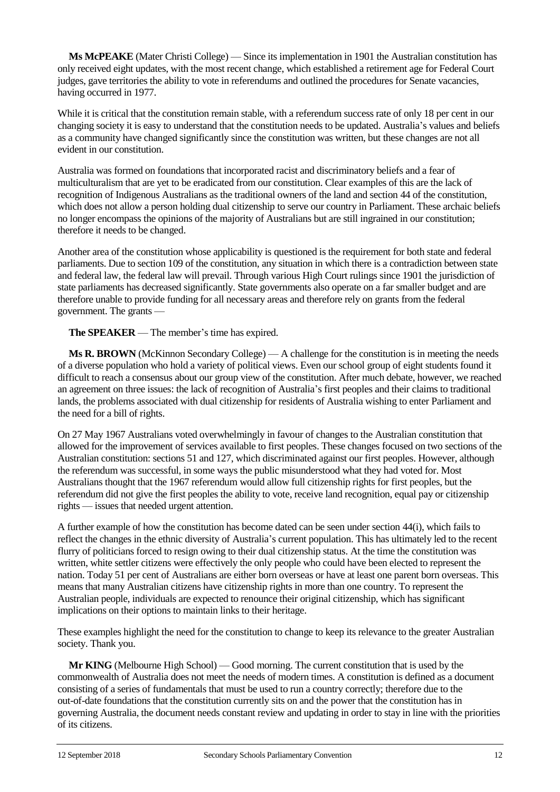**Ms McPEAKE** (Mater Christi College) — Since its implementation in 1901 the Australian constitution has only received eight updates, with the most recent change, which established a retirement age for Federal Court judges, gave territories the ability to vote in referendums and outlined the procedures for Senate vacancies, having occurred in 1977.

While it is critical that the constitution remain stable, with a referendum success rate of only 18 per cent in our changing society it is easy to understand that the constitution needs to be updated. Australia's values and beliefs as a community have changed significantly since the constitution was written, but these changes are not all evident in our constitution.

Australia was formed on foundations that incorporated racist and discriminatory beliefs and a fear of multiculturalism that are yet to be eradicated from our constitution. Clear examples of this are the lack of recognition of Indigenous Australians as the traditional owners of the land and section 44 of the constitution, which does not allow a person holding dual citizenship to serve our country in Parliament. These archaic beliefs no longer encompass the opinions of the majority of Australians but are still ingrained in our constitution; therefore it needs to be changed.

Another area of the constitution whose applicability is questioned is the requirement for both state and federal parliaments. Due to section 109 of the constitution, any situation in which there is a contradiction between state and federal law, the federal law will prevail. Through various High Court rulings since 1901 the jurisdiction of state parliaments has decreased significantly. State governments also operate on a far smaller budget and are therefore unable to provide funding for all necessary areas and therefore rely on grants from the federal government. The grants —

**The SPEAKER** — The member's time has expired.

**Ms R. BROWN** (McKinnon Secondary College) — A challenge for the constitution is in meeting the needs of a diverse population who hold a variety of political views. Even our school group of eight students found it difficult to reach a consensus about our group view of the constitution. After much debate, however, we reached an agreement on three issues: the lack of recognition of Australia's first peoples and their claims to traditional lands, the problems associated with dual citizenship for residents of Australia wishing to enter Parliament and the need for a bill of rights.

On 27 May 1967 Australians voted overwhelmingly in favour of changes to the Australian constitution that allowed for the improvement of services available to first peoples. These changes focused on two sections of the Australian constitution: sections 51 and 127, which discriminated against our first peoples. However, although the referendum was successful, in some ways the public misunderstood what they had voted for. Most Australians thought that the 1967 referendum would allow full citizenship rights for first peoples, but the referendum did not give the first peoples the ability to vote, receive land recognition, equal pay or citizenship rights — issues that needed urgent attention.

A further example of how the constitution has become dated can be seen under section 44(i), which fails to reflect the changes in the ethnic diversity of Australia's current population. This has ultimately led to the recent flurry of politicians forced to resign owing to their dual citizenship status. At the time the constitution was written, white settler citizens were effectively the only people who could have been elected to represent the nation. Today 51 per cent of Australians are either born overseas or have at least one parent born overseas. This means that many Australian citizens have citizenship rights in more than one country. To represent the Australian people, individuals are expected to renounce their original citizenship, which has significant implications on their options to maintain links to their heritage.

These examples highlight the need for the constitution to change to keep its relevance to the greater Australian society. Thank you.

**Mr KING** (Melbourne High School) — Good morning. The current constitution that is used by the commonwealth of Australia does not meet the needs of modern times. A constitution is defined as a document consisting of a series of fundamentals that must be used to run a country correctly; therefore due to the out-of-date foundations that the constitution currently sits on and the power that the constitution has in governing Australia, the document needs constant review and updating in order to stay in line with the priorities of its citizens.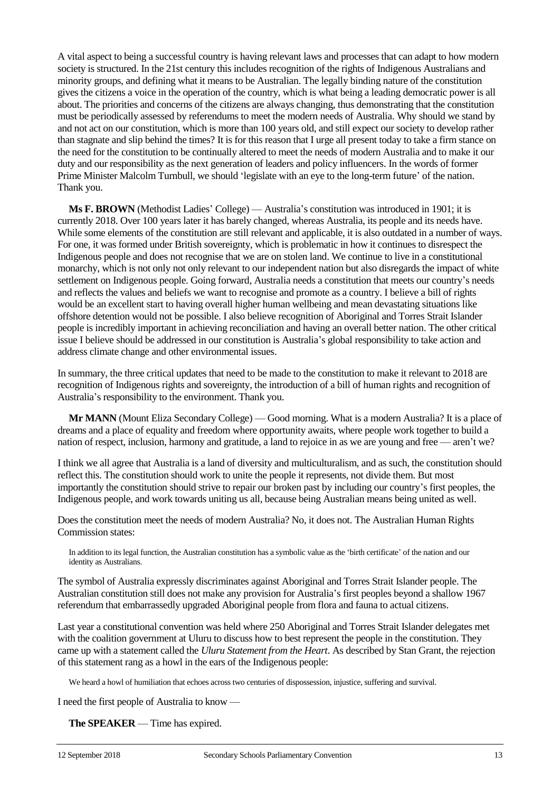A vital aspect to being a successful country is having relevant laws and processes that can adapt to how modern society is structured. In the 21st century this includes recognition of the rights of Indigenous Australians and minority groups, and defining what it means to be Australian. The legally binding nature of the constitution gives the citizens a voice in the operation of the country, which is what being a leading democratic power is all about. The priorities and concerns of the citizens are always changing, thus demonstrating that the constitution must be periodically assessed by referendums to meet the modern needs of Australia. Why should we stand by and not act on our constitution, which is more than 100 years old, and still expect our society to develop rather than stagnate and slip behind the times? It is for this reason that I urge all present today to take a firm stance on the need for the constitution to be continually altered to meet the needs of modern Australia and to make it our duty and our responsibility as the next generation of leaders and policy influencers. In the words of former Prime Minister Malcolm Turnbull, we should 'legislate with an eye to the long-term future' of the nation. Thank you.

**Ms F. BROWN** (Methodist Ladies' College) — Australia's constitution was introduced in 1901; it is currently 2018. Over 100 years later it has barely changed, whereas Australia, its people and its needs have. While some elements of the constitution are still relevant and applicable, it is also outdated in a number of ways. For one, it was formed under British sovereignty, which is problematic in how it continues to disrespect the Indigenous people and does not recognise that we are on stolen land. We continue to live in a constitutional monarchy, which is not only not only relevant to our independent nation but also disregards the impact of white settlement on Indigenous people. Going forward, Australia needs a constitution that meets our country's needs and reflects the values and beliefs we want to recognise and promote as a country. I believe a bill of rights would be an excellent start to having overall higher human wellbeing and mean devastating situations like offshore detention would not be possible. I also believe recognition of Aboriginal and Torres Strait Islander people is incredibly important in achieving reconciliation and having an overall better nation. The other critical issue I believe should be addressed in our constitution is Australia's global responsibility to take action and address climate change and other environmental issues.

In summary, the three critical updates that need to be made to the constitution to make it relevant to 2018 are recognition of Indigenous rights and sovereignty, the introduction of a bill of human rights and recognition of Australia's responsibility to the environment. Thank you.

**Mr MANN** (Mount Eliza Secondary College) — Good morning. What is a modern Australia? It is a place of dreams and a place of equality and freedom where opportunity awaits, where people work together to build a nation of respect, inclusion, harmony and gratitude, a land to rejoice in as we are young and free — aren't we?

I think we all agree that Australia is a land of diversity and multiculturalism, and as such, the constitution should reflect this. The constitution should work to unite the people it represents, not divide them. But most importantly the constitution should strive to repair our broken past by including our country's first peoples, the Indigenous people, and work towards uniting us all, because being Australian means being united as well.

Does the constitution meet the needs of modern Australia? No, it does not. The Australian Human Rights Commission states:

In addition to its legal function, the Australian constitution has a symbolic value as the 'birth certificate' of the nation and our identity as Australians.

The symbol of Australia expressly discriminates against Aboriginal and Torres Strait Islander people. The Australian constitution still does not make any provision for Australia's first peoples beyond a shallow 1967 referendum that embarrassedly upgraded Aboriginal people from flora and fauna to actual citizens.

Last year a constitutional convention was held where 250 Aboriginal and Torres Strait Islander delegates met with the coalition government at Uluru to discuss how to best represent the people in the constitution. They came up with a statement called the *Uluru Statement from the Heart*. As described by Stan Grant, the rejection of this statement rang as a howl in the ears of the Indigenous people:

We heard a howl of humiliation that echoes across two centuries of dispossession, injustice, suffering and survival.

I need the first people of Australia to know —

**The SPEAKER** — Time has expired.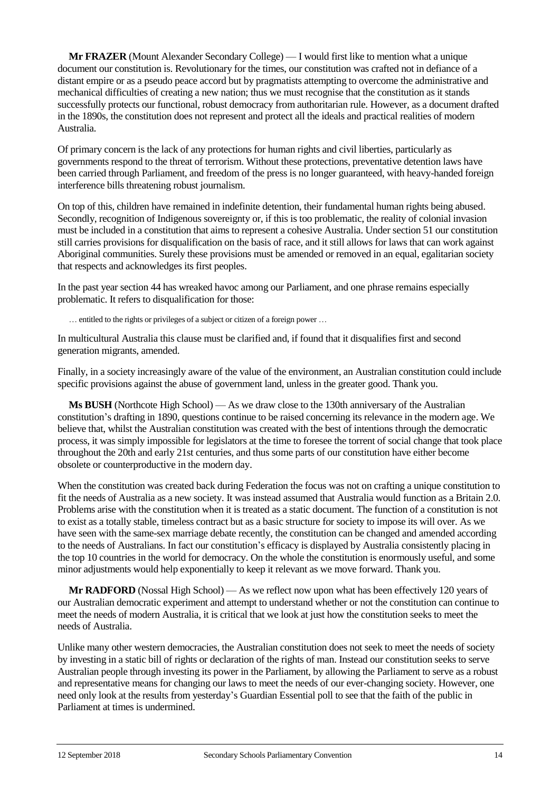**Mr FRAZER** (Mount Alexander Secondary College) — I would first like to mention what a unique document our constitution is. Revolutionary for the times, our constitution was crafted not in defiance of a distant empire or as a pseudo peace accord but by pragmatists attempting to overcome the administrative and mechanical difficulties of creating a new nation; thus we must recognise that the constitution as it stands successfully protects our functional, robust democracy from authoritarian rule. However, as a document drafted in the 1890s, the constitution does not represent and protect all the ideals and practical realities of modern Australia.

Of primary concern is the lack of any protections for human rights and civil liberties, particularly as governments respond to the threat of terrorism. Without these protections, preventative detention laws have been carried through Parliament, and freedom of the press is no longer guaranteed, with heavy-handed foreign interference bills threatening robust journalism.

On top of this, children have remained in indefinite detention, their fundamental human rights being abused. Secondly, recognition of Indigenous sovereignty or, if this is too problematic, the reality of colonial invasion must be included in a constitution that aims to represent a cohesive Australia. Under section 51 our constitution still carries provisions for disqualification on the basis of race, and it still allows for laws that can work against Aboriginal communities. Surely these provisions must be amended or removed in an equal, egalitarian society that respects and acknowledges its first peoples.

In the past year section 44 has wreaked havoc among our Parliament, and one phrase remains especially problematic. It refers to disqualification for those:

… entitled to the rights or privileges of a subject or citizen of a foreign power …

In multicultural Australia this clause must be clarified and, if found that it disqualifies first and second generation migrants, amended.

Finally, in a society increasingly aware of the value of the environment, an Australian constitution could include specific provisions against the abuse of government land, unless in the greater good. Thank you.

**Ms BUSH** (Northcote High School) — As we draw close to the 130th anniversary of the Australian constitution's drafting in 1890, questions continue to be raised concerning its relevance in the modern age. We believe that, whilst the Australian constitution was created with the best of intentions through the democratic process, it was simply impossible for legislators at the time to foresee the torrent of social change that took place throughout the 20th and early 21st centuries, and thus some parts of our constitution have either become obsolete or counterproductive in the modern day.

When the constitution was created back during Federation the focus was not on crafting a unique constitution to fit the needs of Australia as a new society. It was instead assumed that Australia would function as a Britain 2.0. Problems arise with the constitution when it is treated as a static document. The function of a constitution is not to exist as a totally stable, timeless contract but as a basic structure for society to impose its will over. As we have seen with the same-sex marriage debate recently, the constitution can be changed and amended according to the needs of Australians. In fact our constitution's efficacy is displayed by Australia consistently placing in the top 10 countries in the world for democracy. On the whole the constitution is enormously useful, and some minor adjustments would help exponentially to keep it relevant as we move forward. Thank you.

**Mr RADFORD** (Nossal High School) — As we reflect now upon what has been effectively 120 years of our Australian democratic experiment and attempt to understand whether or not the constitution can continue to meet the needs of modern Australia, it is critical that we look at just how the constitution seeks to meet the needs of Australia.

Unlike many other western democracies, the Australian constitution does not seek to meet the needs of society by investing in a static bill of rights or declaration of the rights of man. Instead our constitution seeks to serve Australian people through investing its power in the Parliament, by allowing the Parliament to serve as a robust and representative means for changing our laws to meet the needs of our ever-changing society. However, one need only look at the results from yesterday's Guardian Essential poll to see that the faith of the public in Parliament at times is undermined.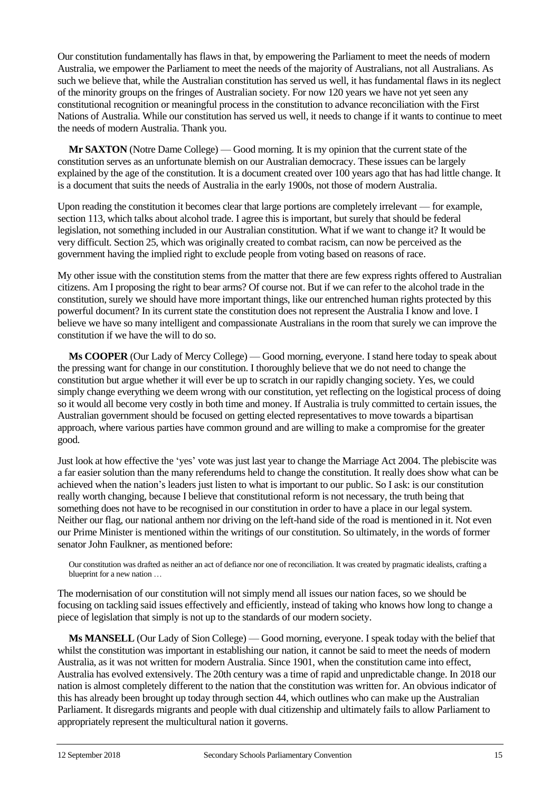Our constitution fundamentally has flaws in that, by empowering the Parliament to meet the needs of modern Australia, we empower the Parliament to meet the needs of the majority of Australians, not all Australians. As such we believe that, while the Australian constitution has served us well, it has fundamental flaws in its neglect of the minority groups on the fringes of Australian society. For now 120 years we have not yet seen any constitutional recognition or meaningful process in the constitution to advance reconciliation with the First Nations of Australia. While our constitution has served us well, it needs to change if it wants to continue to meet the needs of modern Australia. Thank you.

**Mr SAXTON** (Notre Dame College) — Good morning. It is my opinion that the current state of the constitution serves as an unfortunate blemish on our Australian democracy. These issues can be largely explained by the age of the constitution. It is a document created over 100 years ago that has had little change. It is a document that suits the needs of Australia in the early 1900s, not those of modern Australia.

Upon reading the constitution it becomes clear that large portions are completely irrelevant — for example, section 113, which talks about alcohol trade. I agree this is important, but surely that should be federal legislation, not something included in our Australian constitution. What if we want to change it? It would be very difficult. Section 25, which was originally created to combat racism, can now be perceived as the government having the implied right to exclude people from voting based on reasons of race.

My other issue with the constitution stems from the matter that there are few express rights offered to Australian citizens. Am I proposing the right to bear arms? Of course not. But if we can refer to the alcohol trade in the constitution, surely we should have more important things, like our entrenched human rights protected by this powerful document? In its current state the constitution does not represent the Australia I know and love. I believe we have so many intelligent and compassionate Australians in the room that surely we can improve the constitution if we have the will to do so.

**Ms COOPER** (Our Lady of Mercy College) — Good morning, everyone. I stand here today to speak about the pressing want for change in our constitution. I thoroughly believe that we do not need to change the constitution but argue whether it will ever be up to scratch in our rapidly changing society. Yes, we could simply change everything we deem wrong with our constitution, yet reflecting on the logistical process of doing so it would all become very costly in both time and money. If Australia is truly committed to certain issues, the Australian government should be focused on getting elected representatives to move towards a bipartisan approach, where various parties have common ground and are willing to make a compromise for the greater good.

Just look at how effective the 'yes' vote was just last year to change the Marriage Act 2004. The plebiscite was a far easier solution than the many referendums held to change the constitution. It really does show what can be achieved when the nation's leaders just listen to what is important to our public. So I ask: is our constitution really worth changing, because I believe that constitutional reform is not necessary, the truth being that something does not have to be recognised in our constitution in order to have a place in our legal system. Neither our flag, our national anthem nor driving on the left-hand side of the road is mentioned in it. Not even our Prime Minister is mentioned within the writings of our constitution. So ultimately, in the words of former senator John Faulkner, as mentioned before:

Our constitution was drafted as neither an act of defiance nor one of reconciliation. It was created by pragmatic idealists, crafting a blueprint for a new nation …

The modernisation of our constitution will not simply mend all issues our nation faces, so we should be focusing on tackling said issues effectively and efficiently, instead of taking who knows how long to change a piece of legislation that simply is not up to the standards of our modern society.

**Ms MANSELL** (Our Lady of Sion College) — Good morning, everyone. I speak today with the belief that whilst the constitution was important in establishing our nation, it cannot be said to meet the needs of modern Australia, as it was not written for modern Australia. Since 1901, when the constitution came into effect, Australia has evolved extensively. The 20th century was a time of rapid and unpredictable change. In 2018 our nation is almost completely different to the nation that the constitution was written for. An obvious indicator of this has already been brought up today through section 44, which outlines who can make up the Australian Parliament. It disregards migrants and people with dual citizenship and ultimately fails to allow Parliament to appropriately represent the multicultural nation it governs.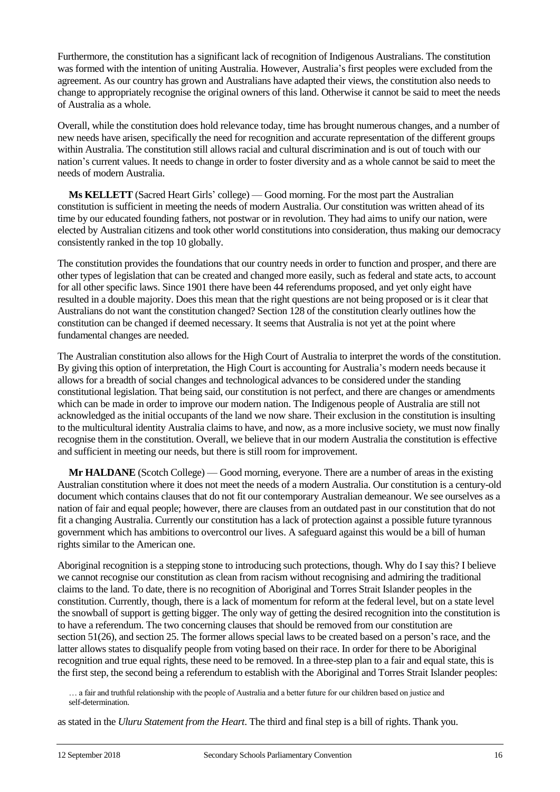Furthermore, the constitution has a significant lack of recognition of Indigenous Australians. The constitution was formed with the intention of uniting Australia. However, Australia's first peoples were excluded from the agreement. As our country has grown and Australians have adapted their views, the constitution also needs to change to appropriately recognise the original owners of this land. Otherwise it cannot be said to meet the needs of Australia as a whole.

Overall, while the constitution does hold relevance today, time has brought numerous changes, and a number of new needs have arisen, specifically the need for recognition and accurate representation of the different groups within Australia. The constitution still allows racial and cultural discrimination and is out of touch with our nation's current values. It needs to change in order to foster diversity and as a whole cannot be said to meet the needs of modern Australia.

**Ms KELLETT** (Sacred Heart Girls' college) — Good morning. For the most part the Australian constitution is sufficient in meeting the needs of modern Australia. Our constitution was written ahead of its time by our educated founding fathers, not postwar or in revolution. They had aims to unify our nation, were elected by Australian citizens and took other world constitutions into consideration, thus making our democracy consistently ranked in the top 10 globally.

The constitution provides the foundations that our country needs in order to function and prosper, and there are other types of legislation that can be created and changed more easily, such as federal and state acts, to account for all other specific laws. Since 1901 there have been 44 referendums proposed, and yet only eight have resulted in a double majority. Does this mean that the right questions are not being proposed or is it clear that Australians do not want the constitution changed? Section 128 of the constitution clearly outlines how the constitution can be changed if deemed necessary. It seems that Australia is not yet at the point where fundamental changes are needed.

The Australian constitution also allows for the High Court of Australia to interpret the words of the constitution. By giving this option of interpretation, the High Court is accounting for Australia's modern needs because it allows for a breadth of social changes and technological advances to be considered under the standing constitutional legislation. That being said, our constitution is not perfect, and there are changes or amendments which can be made in order to improve our modern nation. The Indigenous people of Australia are still not acknowledged as the initial occupants of the land we now share. Their exclusion in the constitution is insulting to the multicultural identity Australia claims to have, and now, as a more inclusive society, we must now finally recognise them in the constitution. Overall, we believe that in our modern Australia the constitution is effective and sufficient in meeting our needs, but there is still room for improvement.

**Mr HALDANE** (Scotch College) — Good morning, everyone. There are a number of areas in the existing Australian constitution where it does not meet the needs of a modern Australia. Our constitution is a century-old document which contains clauses that do not fit our contemporary Australian demeanour. We see ourselves as a nation of fair and equal people; however, there are clauses from an outdated past in our constitution that do not fit a changing Australia. Currently our constitution has a lack of protection against a possible future tyrannous government which has ambitions to overcontrol our lives. A safeguard against this would be a bill of human rights similar to the American one.

Aboriginal recognition is a stepping stone to introducing such protections, though. Why do I say this? I believe we cannot recognise our constitution as clean from racism without recognising and admiring the traditional claims to the land. To date, there is no recognition of Aboriginal and Torres Strait Islander peoples in the constitution. Currently, though, there is a lack of momentum for reform at the federal level, but on a state level the snowball of support is getting bigger. The only way of getting the desired recognition into the constitution is to have a referendum. The two concerning clauses that should be removed from our constitution are section 51(26), and section 25. The former allows special laws to be created based on a person's race, and the latter allows states to disqualify people from voting based on their race. In order for there to be Aboriginal recognition and true equal rights, these need to be removed. In a three-step plan to a fair and equal state, this is the first step, the second being a referendum to establish with the Aboriginal and Torres Strait Islander peoples:

… a fair and truthful relationship with the people of Australia and a better future for our children based on justice and self-determination.

as stated in the *Uluru Statement from the Heart*. The third and final step is a bill of rights. Thank you.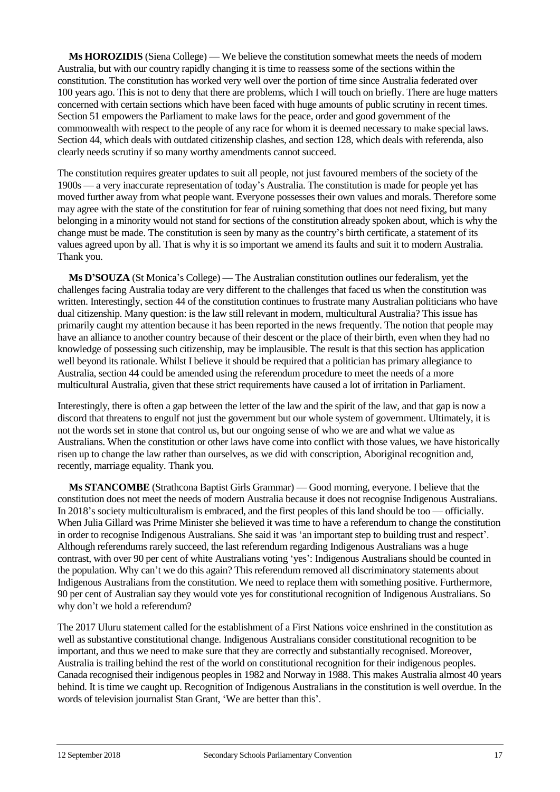**Ms HOROZIDIS** (Siena College) — We believe the constitution somewhat meets the needs of modern Australia, but with our country rapidly changing it is time to reassess some of the sections within the constitution. The constitution has worked very well over the portion of time since Australia federated over 100 years ago. This is not to deny that there are problems, which I will touch on briefly. There are huge matters concerned with certain sections which have been faced with huge amounts of public scrutiny in recent times. Section 51 empowers the Parliament to make laws for the peace, order and good government of the commonwealth with respect to the people of any race for whom it is deemed necessary to make special laws. Section 44, which deals with outdated citizenship clashes, and section 128, which deals with referenda, also clearly needs scrutiny if so many worthy amendments cannot succeed.

The constitution requires greater updates to suit all people, not just favoured members of the society of the 1900s — a very inaccurate representation of today's Australia. The constitution is made for people yet has moved further away from what people want. Everyone possesses their own values and morals. Therefore some may agree with the state of the constitution for fear of ruining something that does not need fixing, but many belonging in a minority would not stand for sections of the constitution already spoken about, which is why the change must be made. The constitution is seen by many as the country's birth certificate, a statement of its values agreed upon by all. That is why it is so important we amend its faults and suit it to modern Australia. Thank you.

**Ms D'SOUZA** (St Monica's College) — The Australian constitution outlines our federalism, yet the challenges facing Australia today are very different to the challenges that faced us when the constitution was written. Interestingly, section 44 of the constitution continues to frustrate many Australian politicians who have dual citizenship. Many question: is the law still relevant in modern, multicultural Australia? This issue has primarily caught my attention because it has been reported in the news frequently. The notion that people may have an alliance to another country because of their descent or the place of their birth, even when they had no knowledge of possessing such citizenship, may be implausible. The result is that this section has application well beyond its rationale. Whilst I believe it should be required that a politician has primary allegiance to Australia, section 44 could be amended using the referendum procedure to meet the needs of a more multicultural Australia, given that these strict requirements have caused a lot of irritation in Parliament.

Interestingly, there is often a gap between the letter of the law and the spirit of the law, and that gap is now a discord that threatens to engulf not just the government but our whole system of government. Ultimately, it is not the words set in stone that control us, but our ongoing sense of who we are and what we value as Australians. When the constitution or other laws have come into conflict with those values, we have historically risen up to change the law rather than ourselves, as we did with conscription, Aboriginal recognition and, recently, marriage equality. Thank you.

**Ms STANCOMBE** (Strathcona Baptist Girls Grammar) — Good morning, everyone. I believe that the constitution does not meet the needs of modern Australia because it does not recognise Indigenous Australians. In 2018's society multiculturalism is embraced, and the first peoples of this land should be too — officially. When Julia Gillard was Prime Minister she believed it was time to have a referendum to change the constitution in order to recognise Indigenous Australians. She said it was 'an important step to building trust and respect'. Although referendums rarely succeed, the last referendum regarding Indigenous Australians was a huge contrast, with over 90 per cent of white Australians voting 'yes': Indigenous Australians should be counted in the population. Why can't we do this again? This referendum removed all discriminatory statements about Indigenous Australians from the constitution. We need to replace them with something positive. Furthermore, 90 per cent of Australian say they would vote yes for constitutional recognition of Indigenous Australians. So why don't we hold a referendum?

The 2017 Uluru statement called for the establishment of a First Nations voice enshrined in the constitution as well as substantive constitutional change. Indigenous Australians consider constitutional recognition to be important, and thus we need to make sure that they are correctly and substantially recognised. Moreover, Australia is trailing behind the rest of the world on constitutional recognition for their indigenous peoples. Canada recognised their indigenous peoples in 1982 and Norway in 1988. This makes Australia almost 40 years behind. It is time we caught up. Recognition of Indigenous Australians in the constitution is well overdue. In the words of television journalist Stan Grant, 'We are better than this'.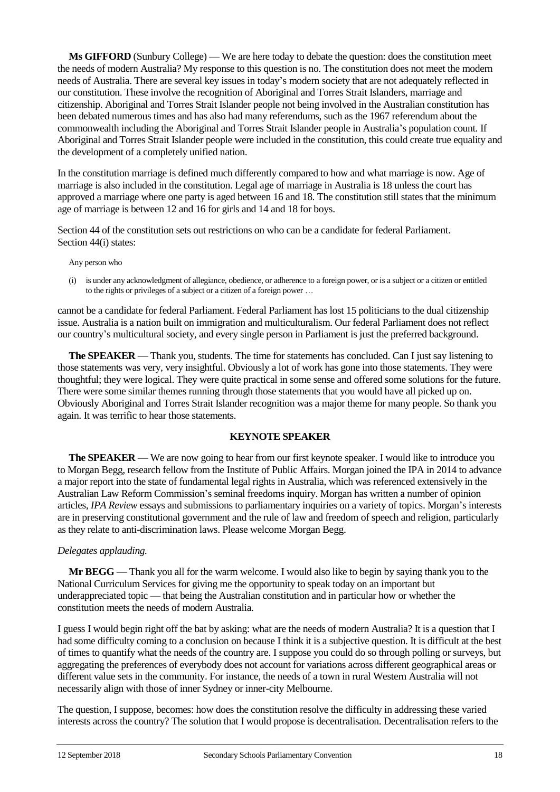**Ms GIFFORD** (Sunbury College) — We are here today to debate the question: does the constitution meet the needs of modern Australia? My response to this question is no. The constitution does not meet the modern needs of Australia. There are several key issues in today's modern society that are not adequately reflected in our constitution. These involve the recognition of Aboriginal and Torres Strait Islanders, marriage and citizenship. Aboriginal and Torres Strait Islander people not being involved in the Australian constitution has been debated numerous times and has also had many referendums, such as the 1967 referendum about the commonwealth including the Aboriginal and Torres Strait Islander people in Australia's population count. If Aboriginal and Torres Strait Islander people were included in the constitution, this could create true equality and the development of a completely unified nation.

In the constitution marriage is defined much differently compared to how and what marriage is now. Age of marriage is also included in the constitution. Legal age of marriage in Australia is 18 unless the court has approved a marriage where one party is aged between 16 and 18. The constitution still states that the minimum age of marriage is between 12 and 16 for girls and 14 and 18 for boys.

Section 44 of the constitution sets out restrictions on who can be a candidate for federal Parliament. Section 44(i) states:

Any person who

(i) is under any acknowledgment of allegiance, obedience, or adherence to a foreign power, or is a subject or a citizen or entitled to the rights or privileges of a subject or a citizen of a foreign power …

cannot be a candidate for federal Parliament. Federal Parliament has lost 15 politicians to the dual citizenship issue. Australia is a nation built on immigration and multiculturalism. Our federal Parliament does not reflect our country's multicultural society, and every single person in Parliament is just the preferred background.

**The SPEAKER** — Thank you, students. The time for statements has concluded. Can I just say listening to those statements was very, very insightful. Obviously a lot of work has gone into those statements. They were thoughtful; they were logical. They were quite practical in some sense and offered some solutions for the future. There were some similar themes running through those statements that you would have all picked up on. Obviously Aboriginal and Torres Strait Islander recognition was a major theme for many people. So thank you again. It was terrific to hear those statements.

# **KEYNOTE SPEAKER**

**The SPEAKER** — We are now going to hear from our first keynote speaker. I would like to introduce you to Morgan Begg, research fellow from the Institute of Public Affairs. Morgan joined the IPA in 2014 to advance a major report into the state of fundamental legal rights in Australia, which was referenced extensively in the Australian Law Reform Commission's seminal freedoms inquiry. Morgan has written a number of opinion articles, *IPA Review* essays and submissions to parliamentary inquiries on a variety of topics. Morgan's interests are in preserving constitutional government and the rule of law and freedom of speech and religion, particularly as they relate to anti-discrimination laws. Please welcome Morgan Begg.

# *Delegates applauding.*

**Mr BEGG** — Thank you all for the warm welcome. I would also like to begin by saying thank you to the National Curriculum Services for giving me the opportunity to speak today on an important but underappreciated topic — that being the Australian constitution and in particular how or whether the constitution meets the needs of modern Australia.

I guess I would begin right off the bat by asking: what are the needs of modern Australia? It is a question that I had some difficulty coming to a conclusion on because I think it is a subjective question. It is difficult at the best of times to quantify what the needs of the country are. I suppose you could do so through polling or surveys, but aggregating the preferences of everybody does not account for variations across different geographical areas or different value sets in the community. For instance, the needs of a town in rural Western Australia will not necessarily align with those of inner Sydney or inner-city Melbourne.

The question, I suppose, becomes: how does the constitution resolve the difficulty in addressing these varied interests across the country? The solution that I would propose is decentralisation. Decentralisation refers to the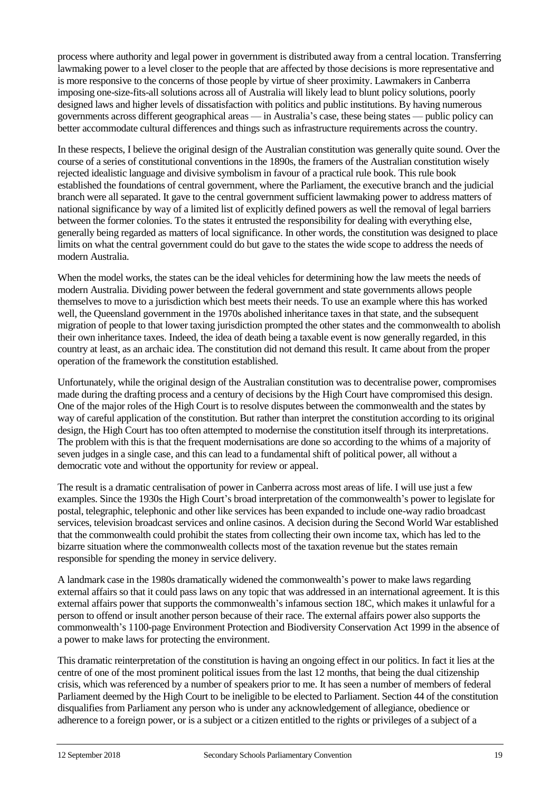process where authority and legal power in government is distributed away from a central location. Transferring lawmaking power to a level closer to the people that are affected by those decisions is more representative and is more responsive to the concerns of those people by virtue of sheer proximity. Lawmakers in Canberra imposing one-size-fits-all solutions across all of Australia will likely lead to blunt policy solutions, poorly designed laws and higher levels of dissatisfaction with politics and public institutions. By having numerous governments across different geographical areas — in Australia's case, these being states — public policy can better accommodate cultural differences and things such as infrastructure requirements across the country.

In these respects, I believe the original design of the Australian constitution was generally quite sound. Over the course of a series of constitutional conventions in the 1890s, the framers of the Australian constitution wisely rejected idealistic language and divisive symbolism in favour of a practical rule book. This rule book established the foundations of central government, where the Parliament, the executive branch and the judicial branch were all separated. It gave to the central government sufficient lawmaking power to address matters of national significance by way of a limited list of explicitly defined powers as well the removal of legal barriers between the former colonies. To the states it entrusted the responsibility for dealing with everything else, generally being regarded as matters of local significance. In other words, the constitution was designed to place limits on what the central government could do but gave to the states the wide scope to address the needs of modern Australia.

When the model works, the states can be the ideal vehicles for determining how the law meets the needs of modern Australia. Dividing power between the federal government and state governments allows people themselves to move to a jurisdiction which best meets their needs. To use an example where this has worked well, the Queensland government in the 1970s abolished inheritance taxes in that state, and the subsequent migration of people to that lower taxing jurisdiction prompted the other states and the commonwealth to abolish their own inheritance taxes. Indeed, the idea of death being a taxable event is now generally regarded, in this country at least, as an archaic idea. The constitution did not demand this result. It came about from the proper operation of the framework the constitution established.

Unfortunately, while the original design of the Australian constitution was to decentralise power, compromises made during the drafting process and a century of decisions by the High Court have compromised this design. One of the major roles of the High Court is to resolve disputes between the commonwealth and the states by way of careful application of the constitution. But rather than interpret the constitution according to its original design, the High Court has too often attempted to modernise the constitution itself through its interpretations. The problem with this is that the frequent modernisations are done so according to the whims of a majority of seven judges in a single case, and this can lead to a fundamental shift of political power, all without a democratic vote and without the opportunity for review or appeal.

The result is a dramatic centralisation of power in Canberra across most areas of life. I will use just a few examples. Since the 1930s the High Court's broad interpretation of the commonwealth's power to legislate for postal, telegraphic, telephonic and other like services has been expanded to include one-way radio broadcast services, television broadcast services and online casinos. A decision during the Second World War established that the commonwealth could prohibit the states from collecting their own income tax, which has led to the bizarre situation where the commonwealth collects most of the taxation revenue but the states remain responsible for spending the money in service delivery.

A landmark case in the 1980s dramatically widened the commonwealth's power to make laws regarding external affairs so that it could pass laws on any topic that was addressed in an international agreement. It is this external affairs power that supports the commonwealth's infamous section 18C, which makes it unlawful for a person to offend or insult another person because of their race. The external affairs power also supports the commonwealth's 1100-page Environment Protection and Biodiversity Conservation Act 1999 in the absence of a power to make laws for protecting the environment.

This dramatic reinterpretation of the constitution is having an ongoing effect in our politics. In fact it lies at the centre of one of the most prominent political issues from the last 12 months, that being the dual citizenship crisis, which was referenced by a number of speakers prior to me. It has seen a number of members of federal Parliament deemed by the High Court to be ineligible to be elected to Parliament. Section 44 of the constitution disqualifies from Parliament any person who is under any acknowledgement of allegiance, obedience or adherence to a foreign power, or is a subject or a citizen entitled to the rights or privileges of a subject of a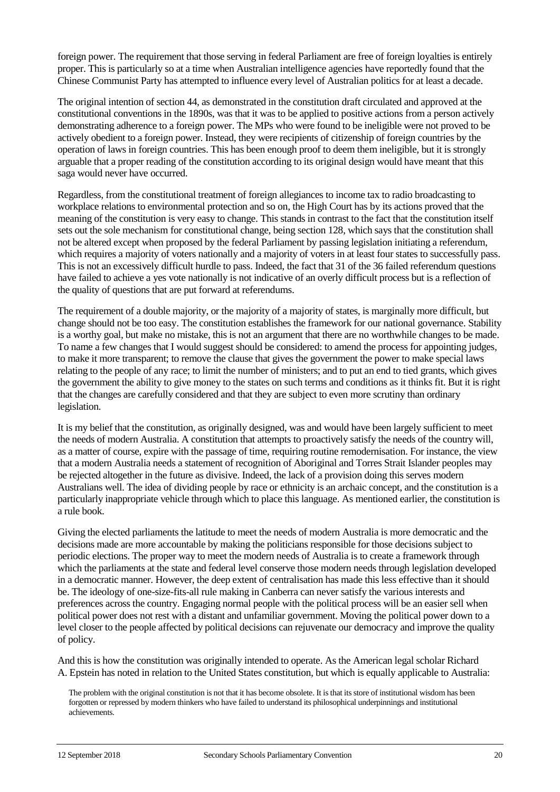foreign power. The requirement that those serving in federal Parliament are free of foreign loyalties is entirely proper. This is particularly so at a time when Australian intelligence agencies have reportedly found that the Chinese Communist Party has attempted to influence every level of Australian politics for at least a decade.

The original intention of section 44, as demonstrated in the constitution draft circulated and approved at the constitutional conventions in the 1890s, was that it was to be applied to positive actions from a person actively demonstrating adherence to a foreign power. The MPs who were found to be ineligible were not proved to be actively obedient to a foreign power. Instead, they were recipients of citizenship of foreign countries by the operation of laws in foreign countries. This has been enough proof to deem them ineligible, but it is strongly arguable that a proper reading of the constitution according to its original design would have meant that this saga would never have occurred.

Regardless, from the constitutional treatment of foreign allegiances to income tax to radio broadcasting to workplace relations to environmental protection and so on, the High Court has by its actions proved that the meaning of the constitution is very easy to change. This stands in contrast to the fact that the constitution itself sets out the sole mechanism for constitutional change, being section 128, which says that the constitution shall not be altered except when proposed by the federal Parliament by passing legislation initiating a referendum, which requires a majority of voters nationally and a majority of voters in at least four states to successfully pass. This is not an excessively difficult hurdle to pass. Indeed, the fact that 31 of the 36 failed referendum questions have failed to achieve a yes vote nationally is not indicative of an overly difficult process but is a reflection of the quality of questions that are put forward at referendums.

The requirement of a double majority, or the majority of a majority of states, is marginally more difficult, but change should not be too easy. The constitution establishes the framework for our national governance. Stability is a worthy goal, but make no mistake, this is not an argument that there are no worthwhile changes to be made. To name a few changes that I would suggest should be considered: to amend the process for appointing judges, to make it more transparent; to remove the clause that gives the government the power to make special laws relating to the people of any race; to limit the number of ministers; and to put an end to tied grants, which gives the government the ability to give money to the states on such terms and conditions as it thinks fit. But it is right that the changes are carefully considered and that they are subject to even more scrutiny than ordinary legislation.

It is my belief that the constitution, as originally designed, was and would have been largely sufficient to meet the needs of modern Australia. A constitution that attempts to proactively satisfy the needs of the country will, as a matter of course, expire with the passage of time, requiring routine remodernisation. For instance, the view that a modern Australia needs a statement of recognition of Aboriginal and Torres Strait Islander peoples may be rejected altogether in the future as divisive. Indeed, the lack of a provision doing this serves modern Australians well. The idea of dividing people by race or ethnicity is an archaic concept, and the constitution is a particularly inappropriate vehicle through which to place this language. As mentioned earlier, the constitution is a rule book.

Giving the elected parliaments the latitude to meet the needs of modern Australia is more democratic and the decisions made are more accountable by making the politicians responsible for those decisions subject to periodic elections. The proper way to meet the modern needs of Australia is to create a framework through which the parliaments at the state and federal level conserve those modern needs through legislation developed in a democratic manner. However, the deep extent of centralisation has made this less effective than it should be. The ideology of one-size-fits-all rule making in Canberra can never satisfy the various interests and preferences across the country. Engaging normal people with the political process will be an easier sell when political power does not rest with a distant and unfamiliar government. Moving the political power down to a level closer to the people affected by political decisions can rejuvenate our democracy and improve the quality of policy.

And this is how the constitution was originally intended to operate. As the American legal scholar Richard A. Epstein has noted in relation to the United States constitution, but which is equally applicable to Australia:

The problem with the original constitution is not that it has become obsolete. It is that its store of institutional wisdom has been forgotten or repressed by modern thinkers who have failed to understand its philosophical underpinnings and institutional achievements.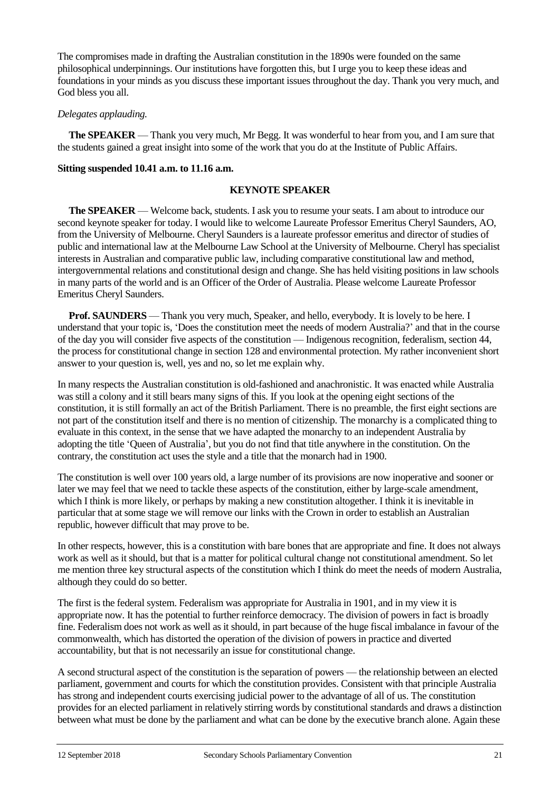The compromises made in drafting the Australian constitution in the 1890s were founded on the same philosophical underpinnings. Our institutions have forgotten this, but I urge you to keep these ideas and foundations in your minds as you discuss these important issues throughout the day. Thank you very much, and God bless you all.

#### *Delegates applauding.*

**The SPEAKER** — Thank you very much, Mr Begg. It was wonderful to hear from you, and I am sure that the students gained a great insight into some of the work that you do at the Institute of Public Affairs.

#### **Sitting suspended 10.41 a.m. to 11.16 a.m.**

#### **KEYNOTE SPEAKER**

**The SPEAKER** — Welcome back, students. I ask you to resume your seats. I am about to introduce our second keynote speaker for today. I would like to welcome Laureate Professor Emeritus Cheryl Saunders, AO, from the University of Melbourne. Cheryl Saunders is a laureate professor emeritus and director of studies of public and international law at the Melbourne Law School at the University of Melbourne. Cheryl has specialist interests in Australian and comparative public law, including comparative constitutional law and method, intergovernmental relations and constitutional design and change. She has held visiting positions in law schools in many parts of the world and is an Officer of the Order of Australia. Please welcome Laureate Professor Emeritus Cheryl Saunders.

**Prof. SAUNDERS** — Thank you very much, Speaker, and hello, everybody. It is lovely to be here. I understand that your topic is, 'Does the constitution meet the needs of modern Australia?' and that in the course of the day you will consider five aspects of the constitution — Indigenous recognition, federalism, section 44, the process for constitutional change in section 128 and environmental protection. My rather inconvenient short answer to your question is, well, yes and no, so let me explain why.

In many respects the Australian constitution is old-fashioned and anachronistic. It was enacted while Australia was still a colony and it still bears many signs of this. If you look at the opening eight sections of the constitution, it is still formally an act of the British Parliament. There is no preamble, the first eight sections are not part of the constitution itself and there is no mention of citizenship. The monarchy is a complicated thing to evaluate in this context, in the sense that we have adapted the monarchy to an independent Australia by adopting the title 'Queen of Australia', but you do not find that title anywhere in the constitution. On the contrary, the constitution act uses the style and a title that the monarch had in 1900.

The constitution is well over 100 years old, a large number of its provisions are now inoperative and sooner or later we may feel that we need to tackle these aspects of the constitution, either by large-scale amendment, which I think is more likely, or perhaps by making a new constitution altogether. I think it is inevitable in particular that at some stage we will remove our links with the Crown in order to establish an Australian republic, however difficult that may prove to be.

In other respects, however, this is a constitution with bare bones that are appropriate and fine. It does not always work as well as it should, but that is a matter for political cultural change not constitutional amendment. So let me mention three key structural aspects of the constitution which I think do meet the needs of modern Australia, although they could do so better.

The first is the federal system. Federalism was appropriate for Australia in 1901, and in my view it is appropriate now. It has the potential to further reinforce democracy. The division of powers in fact is broadly fine. Federalism does not work as well as it should, in part because of the huge fiscal imbalance in favour of the commonwealth, which has distorted the operation of the division of powers in practice and diverted accountability, but that is not necessarily an issue for constitutional change.

A second structural aspect of the constitution is the separation of powers — the relationship between an elected parliament, government and courts for which the constitution provides. Consistent with that principle Australia has strong and independent courts exercising judicial power to the advantage of all of us. The constitution provides for an elected parliament in relatively stirring words by constitutional standards and draws a distinction between what must be done by the parliament and what can be done by the executive branch alone. Again these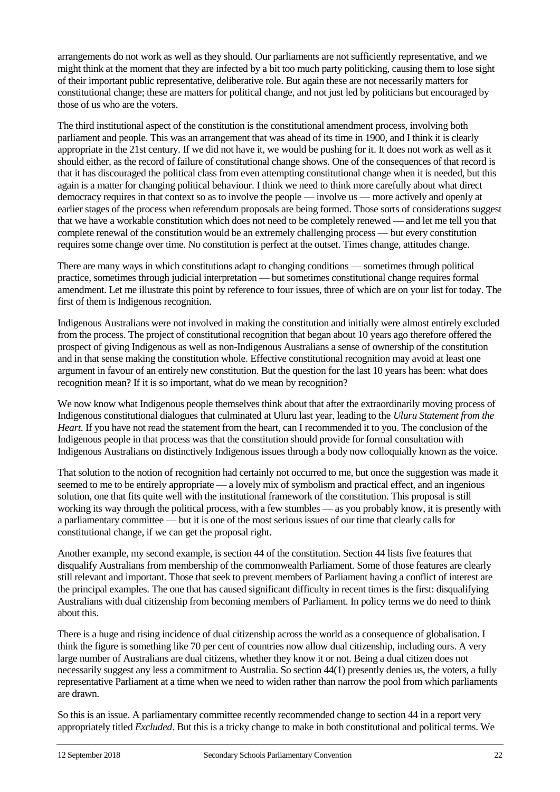arrangements do not work as well as they should. Our parliaments are not sufficiently representative, and we might think at the moment that they are infected by a bit too much party politicking, causing them to lose sight of their important public representative, deliberative role. But again these are not necessarily matters for constitutional change; these are matters for political change, and not just led by politicians but encouraged by those of us who are the voters.

The third institutional aspect of the constitution is the constitutional amendment process, involving both parliament and people. This was an arrangement that was ahead of its time in 1900, and I think it is clearly appropriate in the 21st century. If we did not have it, we would be pushing for it. It does not work as well as it should either, as the record of failure of constitutional change shows. One of the consequences of that record is that it has discouraged the political class from even attempting constitutional change when it is needed, but this again is a matter for changing political behaviour. I think we need to think more carefully about what direct democracy requires in that context so as to involve the people — involve us — more actively and openly at earlier stages of the process when referendum proposals are being formed. Those sorts of considerations suggest that we have a workable constitution which does not need to be completely renewed — and let me tell you that complete renewal of the constitution would be an extremely challenging process — but every constitution requires some change over time. No constitution is perfect at the outset. Times change, attitudes change.

There are many ways in which constitutions adapt to changing conditions — sometimes through political practice, sometimes through judicial interpretation — but sometimes constitutional change requires formal amendment. Let me illustrate this point by reference to four issues, three of which are on your list for today. The first of them is Indigenous recognition.

Indigenous Australians were not involved in making the constitution and initially were almost entirely excluded from the process. The project of constitutional recognition that began about 10 years ago therefore offered the prospect of giving Indigenous as well as non-Indigenous Australians a sense of ownership of the constitution and in that sense making the constitution whole. Effective constitutional recognition may avoid at least one argument in favour of an entirely new constitution. But the question for the last 10 years has been: what does recognition mean? If it is so important, what do we mean by recognition?

We now know what Indigenous people themselves think about that after the extraordinarily moving process of Indigenous constitutional dialogues that culminated at Uluru last year, leading to the *Uluru Statement from the Heart*. If you have not read the statement from the heart, can I recommended it to you. The conclusion of the Indigenous people in that process was that the constitution should provide for formal consultation with Indigenous Australians on distinctively Indigenous issues through a body now colloquially known as the voice.

That solution to the notion of recognition had certainly not occurred to me, but once the suggestion was made it seemed to me to be entirely appropriate — a lovely mix of symbolism and practical effect, and an ingenious solution, one that fits quite well with the institutional framework of the constitution. This proposal is still working its way through the political process, with a few stumbles — as you probably know, it is presently with a parliamentary committee — but it is one of the most serious issues of our time that clearly calls for constitutional change, if we can get the proposal right.

Another example, my second example, is section 44 of the constitution. Section 44 lists five features that disqualify Australians from membership of the commonwealth Parliament. Some of those features are clearly still relevant and important. Those that seek to prevent members of Parliament having a conflict of interest are the principal examples. The one that has caused significant difficulty in recent times is the first: disqualifying Australians with dual citizenship from becoming members of Parliament. In policy terms we do need to think about this.

There is a huge and rising incidence of dual citizenship across the world as a consequence of globalisation. I think the figure is something like 70 per cent of countries now allow dual citizenship, including ours. A very large number of Australians are dual citizens, whether they know it or not. Being a dual citizen does not necessarily suggest any less a commitment to Australia. So section 44(1) presently denies us, the voters, a fully representative Parliament at a time when we need to widen rather than narrow the pool from which parliaments are drawn.

So this is an issue. A parliamentary committee recently recommended change to section 44 in a report very appropriately titled *Excluded*. But this is a tricky change to make in both constitutional and political terms. We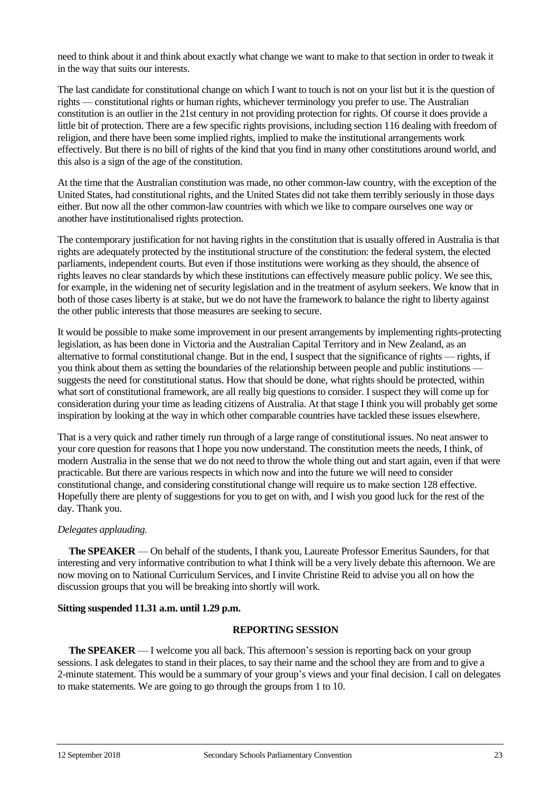need to think about it and think about exactly what change we want to make to that section in order to tweak it in the way that suits our interests.

The last candidate for constitutional change on which I want to touch is not on your list but it is the question of rights — constitutional rights or human rights, whichever terminology you prefer to use. The Australian constitution is an outlier in the 21st century in not providing protection for rights. Of course it does provide a little bit of protection. There are a few specific rights provisions, including section 116 dealing with freedom of religion, and there have been some implied rights, implied to make the institutional arrangements work effectively. But there is no bill of rights of the kind that you find in many other constitutions around world, and this also is a sign of the age of the constitution.

At the time that the Australian constitution was made, no other common-law country, with the exception of the United States, had constitutional rights, and the United States did not take them terribly seriously in those days either. But now all the other common-law countries with which we like to compare ourselves one way or another have institutionalised rights protection.

The contemporary justification for not having rights in the constitution that is usually offered in Australia is that rights are adequately protected by the institutional structure of the constitution: the federal system, the elected parliaments, independent courts. But even if those institutions were working as they should, the absence of rights leaves no clear standards by which these institutions can effectively measure public policy. We see this, for example, in the widening net of security legislation and in the treatment of asylum seekers. We know that in both of those cases liberty is at stake, but we do not have the framework to balance the right to liberty against the other public interests that those measures are seeking to secure.

It would be possible to make some improvement in our present arrangements by implementing rights-protecting legislation, as has been done in Victoria and the Australian Capital Territory and in New Zealand, as an alternative to formal constitutional change. But in the end, I suspect that the significance of rights — rights, if you think about them as setting the boundaries of the relationship between people and public institutions suggests the need for constitutional status. How that should be done, what rights should be protected, within what sort of constitutional framework, are all really big questions to consider. I suspect they will come up for consideration during your time as leading citizens of Australia. At that stage I think you will probably get some inspiration by looking at the way in which other comparable countries have tackled these issues elsewhere.

That is a very quick and rather timely run through of a large range of constitutional issues. No neat answer to your core question for reasons that I hope you now understand. The constitution meets the needs, I think, of modern Australia in the sense that we do not need to throw the whole thing out and start again, even if that were practicable. But there are various respects in which now and into the future we will need to consider constitutional change, and considering constitutional change will require us to make section 128 effective. Hopefully there are plenty of suggestions for you to get on with, and I wish you good luck for the rest of the day. Thank you.

#### *Delegates applauding.*

**The SPEAKER** — On behalf of the students, I thank you, Laureate Professor Emeritus Saunders, for that interesting and very informative contribution to what I think will be a very lively debate this afternoon. We are now moving on to National Curriculum Services, and I invite Christine Reid to advise you all on how the discussion groups that you will be breaking into shortly will work.

#### **Sitting suspended 11.31 a.m. until 1.29 p.m.**

#### **REPORTING SESSION**

**The SPEAKER** — I welcome you all back. This afternoon's session is reporting back on your group sessions. I ask delegates to stand in their places, to say their name and the school they are from and to give a 2-minute statement. This would be a summary of your group's views and your final decision. I call on delegates to make statements. We are going to go through the groups from 1 to 10.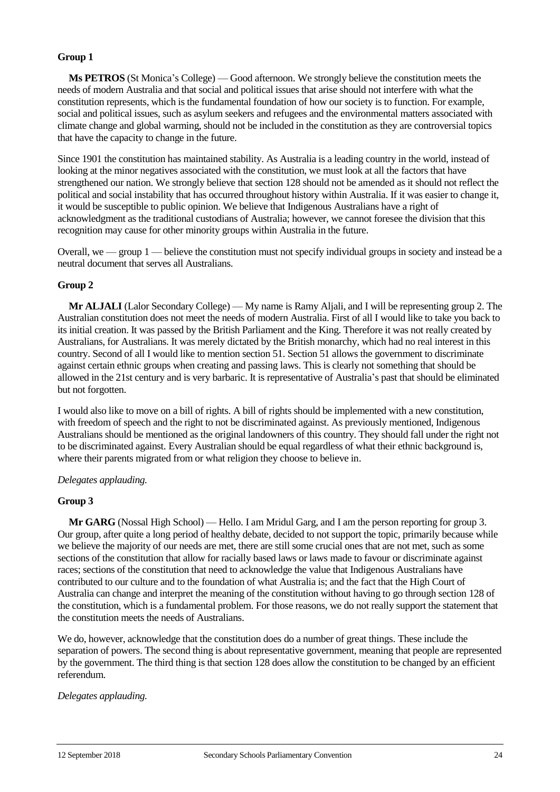## **Group 1**

**Ms PETROS** (St Monica's College) — Good afternoon. We strongly believe the constitution meets the needs of modern Australia and that social and political issues that arise should not interfere with what the constitution represents, which is the fundamental foundation of how our society is to function. For example, social and political issues, such as asylum seekers and refugees and the environmental matters associated with climate change and global warming, should not be included in the constitution as they are controversial topics that have the capacity to change in the future.

Since 1901 the constitution has maintained stability. As Australia is a leading country in the world, instead of looking at the minor negatives associated with the constitution, we must look at all the factors that have strengthened our nation. We strongly believe that section 128 should not be amended as it should not reflect the political and social instability that has occurred throughout history within Australia. If it was easier to change it, it would be susceptible to public opinion. We believe that Indigenous Australians have a right of acknowledgment as the traditional custodians of Australia; however, we cannot foresee the division that this recognition may cause for other minority groups within Australia in the future.

Overall, we — group 1 — believe the constitution must not specify individual groups in society and instead be a neutral document that serves all Australians.

## **Group 2**

**Mr ALJALI** (Lalor Secondary College) — My name is Ramy Aljali, and I will be representing group 2. The Australian constitution does not meet the needs of modern Australia. First of all I would like to take you back to its initial creation. It was passed by the British Parliament and the King. Therefore it was not really created by Australians, for Australians. It was merely dictated by the British monarchy, which had no real interest in this country. Second of all I would like to mention section 51. Section 51 allows the government to discriminate against certain ethnic groups when creating and passing laws. This is clearly not something that should be allowed in the 21st century and is very barbaric. It is representative of Australia's past that should be eliminated but not forgotten.

I would also like to move on a bill of rights. A bill of rights should be implemented with a new constitution, with freedom of speech and the right to not be discriminated against. As previously mentioned, Indigenous Australians should be mentioned as the original landowners of this country. They should fall under the right not to be discriminated against. Every Australian should be equal regardless of what their ethnic background is, where their parents migrated from or what religion they choose to believe in.

#### *Delegates applauding.*

#### **Group 3**

**Mr GARG** (Nossal High School) — Hello. I am Mridul Garg, and I am the person reporting for group 3. Our group, after quite a long period of healthy debate, decided to not support the topic, primarily because while we believe the majority of our needs are met, there are still some crucial ones that are not met, such as some sections of the constitution that allow for racially based laws or laws made to favour or discriminate against races; sections of the constitution that need to acknowledge the value that Indigenous Australians have contributed to our culture and to the foundation of what Australia is; and the fact that the High Court of Australia can change and interpret the meaning of the constitution without having to go through section 128 of the constitution, which is a fundamental problem. For those reasons, we do not really support the statement that the constitution meets the needs of Australians.

We do, however, acknowledge that the constitution does do a number of great things. These include the separation of powers. The second thing is about representative government, meaning that people are represented by the government. The third thing is that section 128 does allow the constitution to be changed by an efficient referendum.

#### *Delegates applauding.*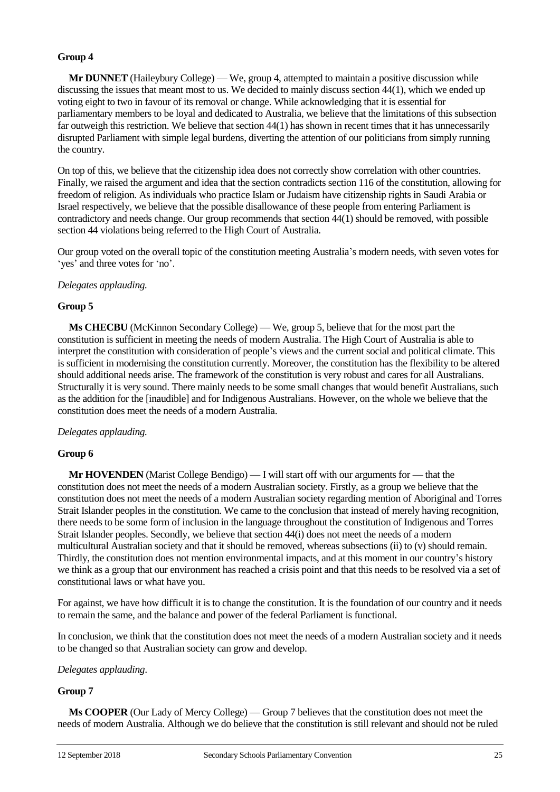## **Group 4**

**Mr DUNNET** (Haileybury College) — We, group 4, attempted to maintain a positive discussion while discussing the issues that meant most to us. We decided to mainly discuss section 44(1), which we ended up voting eight to two in favour of its removal or change. While acknowledging that it is essential for parliamentary members to be loyal and dedicated to Australia, we believe that the limitations of this subsection far outweigh this restriction. We believe that section 44(1) has shown in recent times that it has unnecessarily disrupted Parliament with simple legal burdens, diverting the attention of our politicians from simply running the country.

On top of this, we believe that the citizenship idea does not correctly show correlation with other countries. Finally, we raised the argument and idea that the section contradicts section 116 of the constitution, allowing for freedom of religion. As individuals who practice Islam or Judaism have citizenship rights in Saudi Arabia or Israel respectively, we believe that the possible disallowance of these people from entering Parliament is contradictory and needs change. Our group recommends that section 44(1) should be removed, with possible section 44 violations being referred to the High Court of Australia.

Our group voted on the overall topic of the constitution meeting Australia's modern needs, with seven votes for 'yes' and three votes for 'no'.

#### *Delegates applauding.*

## **Group 5**

**Ms CHECBU** (McKinnon Secondary College) — We, group 5, believe that for the most part the constitution is sufficient in meeting the needs of modern Australia. The High Court of Australia is able to interpret the constitution with consideration of people's views and the current social and political climate. This is sufficient in modernising the constitution currently. Moreover, the constitution has the flexibility to be altered should additional needs arise. The framework of the constitution is very robust and cares for all Australians. Structurally it is very sound. There mainly needs to be some small changes that would benefit Australians, such as the addition for the [inaudible] and for Indigenous Australians. However, on the whole we believe that the constitution does meet the needs of a modern Australia.

#### *Delegates applauding.*

#### **Group 6**

**Mr HOVENDEN** (Marist College Bendigo) — I will start off with our arguments for — that the constitution does not meet the needs of a modern Australian society. Firstly, as a group we believe that the constitution does not meet the needs of a modern Australian society regarding mention of Aboriginal and Torres Strait Islander peoples in the constitution. We came to the conclusion that instead of merely having recognition, there needs to be some form of inclusion in the language throughout the constitution of Indigenous and Torres Strait Islander peoples. Secondly, we believe that section 44(i) does not meet the needs of a modern multicultural Australian society and that it should be removed, whereas subsections (ii) to (v) should remain. Thirdly, the constitution does not mention environmental impacts, and at this moment in our country's history we think as a group that our environment has reached a crisis point and that this needs to be resolved via a set of constitutional laws or what have you.

For against, we have how difficult it is to change the constitution. It is the foundation of our country and it needs to remain the same, and the balance and power of the federal Parliament is functional.

In conclusion, we think that the constitution does not meet the needs of a modern Australian society and it needs to be changed so that Australian society can grow and develop.

#### *Delegates applauding*.

#### **Group 7**

**Ms COOPER** (Our Lady of Mercy College) — Group 7 believes that the constitution does not meet the needs of modern Australia. Although we do believe that the constitution is still relevant and should not be ruled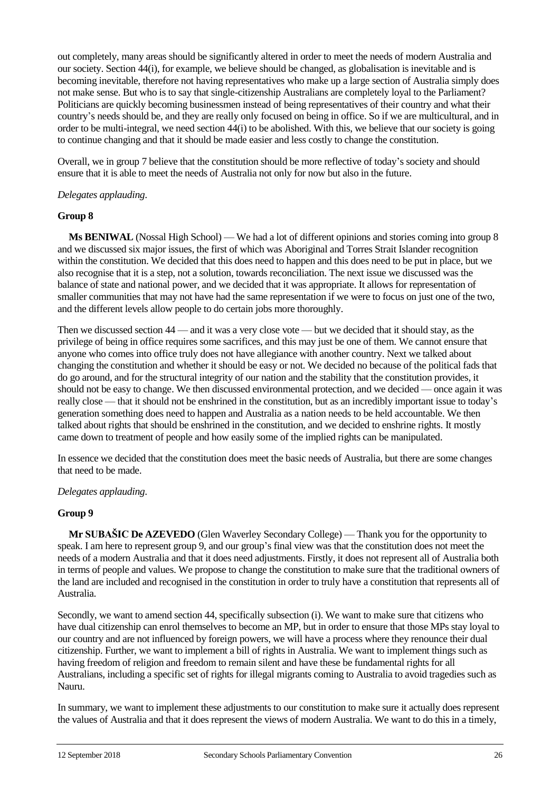out completely, many areas should be significantly altered in order to meet the needs of modern Australia and our society. Section 44(i), for example, we believe should be changed, as globalisation is inevitable and is becoming inevitable, therefore not having representatives who make up a large section of Australia simply does not make sense. But who is to say that single-citizenship Australians are completely loyal to the Parliament? Politicians are quickly becoming businessmen instead of being representatives of their country and what their country's needs should be, and they are really only focused on being in office. So if we are multicultural, and in order to be multi-integral, we need section 44(i) to be abolished. With this, we believe that our society is going to continue changing and that it should be made easier and less costly to change the constitution.

Overall, we in group 7 believe that the constitution should be more reflective of today's society and should ensure that it is able to meet the needs of Australia not only for now but also in the future.

## *Delegates applauding*.

## **Group 8**

**Ms BENIWAL** (Nossal High School) — We had a lot of different opinions and stories coming into group 8 and we discussed six major issues, the first of which was Aboriginal and Torres Strait Islander recognition within the constitution. We decided that this does need to happen and this does need to be put in place, but we also recognise that it is a step, not a solution, towards reconciliation. The next issue we discussed was the balance of state and national power, and we decided that it was appropriate. It allows for representation of smaller communities that may not have had the same representation if we were to focus on just one of the two, and the different levels allow people to do certain jobs more thoroughly.

Then we discussed section 44 — and it was a very close vote — but we decided that it should stay, as the privilege of being in office requires some sacrifices, and this may just be one of them. We cannot ensure that anyone who comes into office truly does not have allegiance with another country. Next we talked about changing the constitution and whether it should be easy or not. We decided no because of the political fads that do go around, and for the structural integrity of our nation and the stability that the constitution provides, it should not be easy to change. We then discussed environmental protection, and we decided — once again it was really close — that it should not be enshrined in the constitution, but as an incredibly important issue to today's generation something does need to happen and Australia as a nation needs to be held accountable. We then talked about rights that should be enshrined in the constitution, and we decided to enshrine rights. It mostly came down to treatment of people and how easily some of the implied rights can be manipulated.

In essence we decided that the constitution does meet the basic needs of Australia, but there are some changes that need to be made.

#### *Delegates applauding*.

## **Group 9**

**Mr SUBAŠIC De AZEVEDO** (Glen Waverley Secondary College) — Thank you for the opportunity to speak. I am here to represent group 9, and our group's final view was that the constitution does not meet the needs of a modern Australia and that it does need adjustments. Firstly, it does not represent all of Australia both in terms of people and values. We propose to change the constitution to make sure that the traditional owners of the land are included and recognised in the constitution in order to truly have a constitution that represents all of Australia.

Secondly, we want to amend section 44, specifically subsection (i). We want to make sure that citizens who have dual citizenship can enrol themselves to become an MP, but in order to ensure that those MPs stay loyal to our country and are not influenced by foreign powers, we will have a process where they renounce their dual citizenship. Further, we want to implement a bill of rights in Australia. We want to implement things such as having freedom of religion and freedom to remain silent and have these be fundamental rights for all Australians, including a specific set of rights for illegal migrants coming to Australia to avoid tragedies such as Nauru.

In summary, we want to implement these adjustments to our constitution to make sure it actually does represent the values of Australia and that it does represent the views of modern Australia. We want to do this in a timely,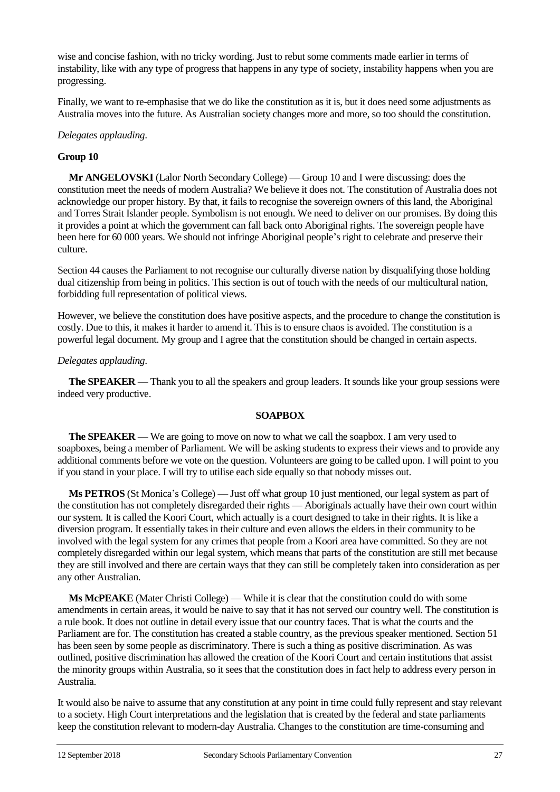wise and concise fashion, with no tricky wording. Just to rebut some comments made earlier in terms of instability, like with any type of progress that happens in any type of society, instability happens when you are progressing.

Finally, we want to re-emphasise that we do like the constitution as it is, but it does need some adjustments as Australia moves into the future. As Australian society changes more and more, so too should the constitution.

## *Delegates applauding*.

## **Group 10**

**Mr ANGELOVSKI** (Lalor North Secondary College) — Group 10 and I were discussing: does the constitution meet the needs of modern Australia? We believe it does not. The constitution of Australia does not acknowledge our proper history. By that, it fails to recognise the sovereign owners of this land, the Aboriginal and Torres Strait Islander people. Symbolism is not enough. We need to deliver on our promises. By doing this it provides a point at which the government can fall back onto Aboriginal rights. The sovereign people have been here for 60 000 years. We should not infringe Aboriginal people's right to celebrate and preserve their culture.

Section 44 causes the Parliament to not recognise our culturally diverse nation by disqualifying those holding dual citizenship from being in politics. This section is out of touch with the needs of our multicultural nation, forbidding full representation of political views.

However, we believe the constitution does have positive aspects, and the procedure to change the constitution is costly. Due to this, it makes it harder to amend it. This is to ensure chaos is avoided. The constitution is a powerful legal document. My group and I agree that the constitution should be changed in certain aspects.

## *Delegates applauding*.

**The SPEAKER** — Thank you to all the speakers and group leaders. It sounds like your group sessions were indeed very productive.

#### **SOAPBOX**

**The SPEAKER** — We are going to move on now to what we call the soapbox. I am very used to soapboxes, being a member of Parliament. We will be asking students to express their views and to provide any additional comments before we vote on the question. Volunteers are going to be called upon. I will point to you if you stand in your place. I will try to utilise each side equally so that nobody misses out.

**Ms PETROS** (St Monica's College) — Just off what group 10 just mentioned, our legal system as part of the constitution has not completely disregarded their rights — Aboriginals actually have their own court within our system. It is called the Koori Court, which actually is a court designed to take in their rights. It is like a diversion program. It essentially takes in their culture and even allows the elders in their community to be involved with the legal system for any crimes that people from a Koori area have committed. So they are not completely disregarded within our legal system, which means that parts of the constitution are still met because they are still involved and there are certain ways that they can still be completely taken into consideration as per any other Australian.

**Ms McPEAKE** (Mater Christi College) — While it is clear that the constitution could do with some amendments in certain areas, it would be naive to say that it has not served our country well. The constitution is a rule book. It does not outline in detail every issue that our country faces. That is what the courts and the Parliament are for. The constitution has created a stable country, as the previous speaker mentioned. Section 51 has been seen by some people as discriminatory. There is such a thing as positive discrimination. As was outlined, positive discrimination has allowed the creation of the Koori Court and certain institutions that assist the minority groups within Australia, so it sees that the constitution does in fact help to address every person in Australia.

It would also be naive to assume that any constitution at any point in time could fully represent and stay relevant to a society. High Court interpretations and the legislation that is created by the federal and state parliaments keep the constitution relevant to modern-day Australia. Changes to the constitution are time-consuming and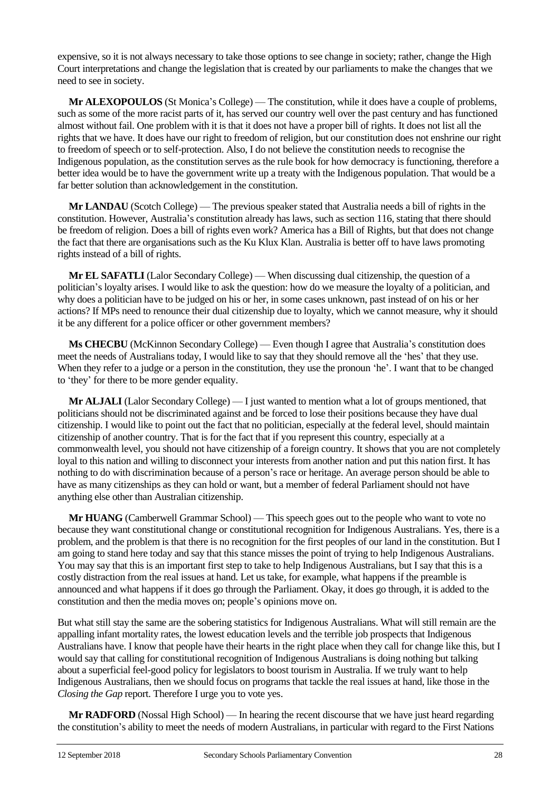expensive, so it is not always necessary to take those options to see change in society; rather, change the High Court interpretations and change the legislation that is created by our parliaments to make the changes that we need to see in society.

**Mr ALEXOPOULOS** (St Monica's College) — The constitution, while it does have a couple of problems, such as some of the more racist parts of it, has served our country well over the past century and has functioned almost without fail. One problem with it is that it does not have a proper bill of rights. It does not list all the rights that we have. It does have our right to freedom of religion, but our constitution does not enshrine our right to freedom of speech or to self-protection. Also, I do not believe the constitution needs to recognise the Indigenous population, as the constitution serves as the rule book for how democracy is functioning, therefore a better idea would be to have the government write up a treaty with the Indigenous population. That would be a far better solution than acknowledgement in the constitution.

**Mr LANDAU** (Scotch College) — The previous speaker stated that Australia needs a bill of rights in the constitution. However, Australia's constitution already has laws, such as section 116, stating that there should be freedom of religion. Does a bill of rights even work? America has a Bill of Rights, but that does not change the fact that there are organisations such as the Ku Klux Klan. Australia is better off to have laws promoting rights instead of a bill of rights.

**Mr EL SAFATLI** (Lalor Secondary College) — When discussing dual citizenship, the question of a politician's loyalty arises. I would like to ask the question: how do we measure the loyalty of a politician, and why does a politician have to be judged on his or her, in some cases unknown, past instead of on his or her actions? If MPs need to renounce their dual citizenship due to loyalty, which we cannot measure, why it should it be any different for a police officer or other government members?

**Ms CHECBU** (McKinnon Secondary College) — Even though I agree that Australia's constitution does meet the needs of Australians today, I would like to say that they should remove all the 'hes' that they use. When they refer to a judge or a person in the constitution, they use the pronoun 'he'. I want that to be changed to 'they' for there to be more gender equality.

**Mr ALJALI** (Lalor Secondary College) — I just wanted to mention what a lot of groups mentioned, that politicians should not be discriminated against and be forced to lose their positions because they have dual citizenship. I would like to point out the fact that no politician, especially at the federal level, should maintain citizenship of another country. That is for the fact that if you represent this country, especially at a commonwealth level, you should not have citizenship of a foreign country. It shows that you are not completely loyal to this nation and willing to disconnect your interests from another nation and put this nation first. It has nothing to do with discrimination because of a person's race or heritage. An average person should be able to have as many citizenships as they can hold or want, but a member of federal Parliament should not have anything else other than Australian citizenship.

**Mr HUANG** (Camberwell Grammar School) — This speech goes out to the people who want to vote no because they want constitutional change or constitutional recognition for Indigenous Australians. Yes, there is a problem, and the problem is that there is no recognition for the first peoples of our land in the constitution. But I am going to stand here today and say that this stance misses the point of trying to help Indigenous Australians. You may say that this is an important first step to take to help Indigenous Australians, but I say that this is a costly distraction from the real issues at hand. Let us take, for example, what happens if the preamble is announced and what happens if it does go through the Parliament. Okay, it does go through, it is added to the constitution and then the media moves on; people's opinions move on.

But what still stay the same are the sobering statistics for Indigenous Australians. What will still remain are the appalling infant mortality rates, the lowest education levels and the terrible job prospects that Indigenous Australians have. I know that people have their hearts in the right place when they call for change like this, but I would say that calling for constitutional recognition of Indigenous Australians is doing nothing but talking about a superficial feel-good policy for legislators to boost tourism in Australia. If we truly want to help Indigenous Australians, then we should focus on programs that tackle the real issues at hand, like those in the *Closing the Gap* report. Therefore I urge you to vote yes.

**Mr RADFORD** (Nossal High School) — In hearing the recent discourse that we have just heard regarding the constitution's ability to meet the needs of modern Australians, in particular with regard to the First Nations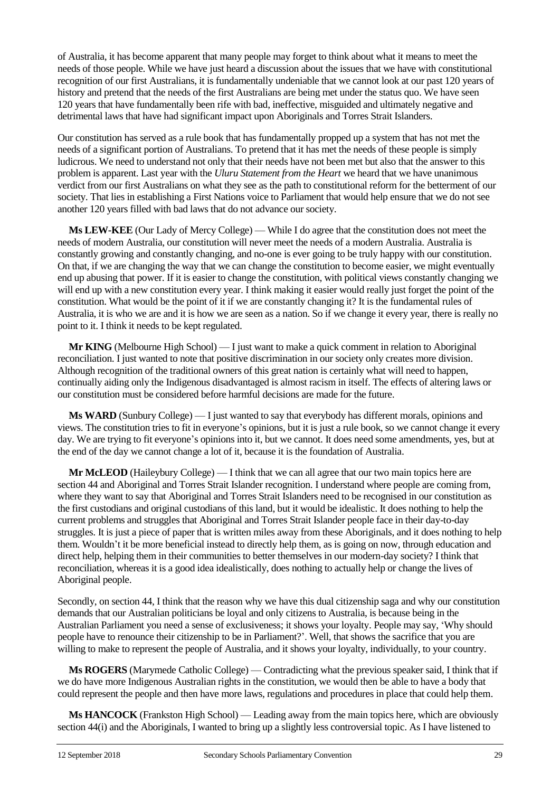of Australia, it has become apparent that many people may forget to think about what it means to meet the needs of those people. While we have just heard a discussion about the issues that we have with constitutional recognition of our first Australians, it is fundamentally undeniable that we cannot look at our past 120 years of history and pretend that the needs of the first Australians are being met under the status quo. We have seen 120 years that have fundamentally been rife with bad, ineffective, misguided and ultimately negative and detrimental laws that have had significant impact upon Aboriginals and Torres Strait Islanders.

Our constitution has served as a rule book that has fundamentally propped up a system that has not met the needs of a significant portion of Australians. To pretend that it has met the needs of these people is simply ludicrous. We need to understand not only that their needs have not been met but also that the answer to this problem is apparent. Last year with the *Uluru Statement from the Heart* we heard that we have unanimous verdict from our first Australians on what they see as the path to constitutional reform for the betterment of our society. That lies in establishing a First Nations voice to Parliament that would help ensure that we do not see another 120 years filled with bad laws that do not advance our society.

**Ms LEW-KEE** (Our Lady of Mercy College) — While I do agree that the constitution does not meet the needs of modern Australia, our constitution will never meet the needs of a modern Australia. Australia is constantly growing and constantly changing, and no-one is ever going to be truly happy with our constitution. On that, if we are changing the way that we can change the constitution to become easier, we might eventually end up abusing that power. If it is easier to change the constitution, with political views constantly changing we will end up with a new constitution every year. I think making it easier would really just forget the point of the constitution. What would be the point of it if we are constantly changing it? It is the fundamental rules of Australia, it is who we are and it is how we are seen as a nation. So if we change it every year, there is really no point to it. I think it needs to be kept regulated.

**Mr KING** (Melbourne High School) — I just want to make a quick comment in relation to Aboriginal reconciliation. I just wanted to note that positive discrimination in our society only creates more division. Although recognition of the traditional owners of this great nation is certainly what will need to happen, continually aiding only the Indigenous disadvantaged is almost racism in itself. The effects of altering laws or our constitution must be considered before harmful decisions are made for the future.

**Ms WARD** (Sunbury College) — I just wanted to say that everybody has different morals, opinions and views. The constitution tries to fit in everyone's opinions, but it is just a rule book, so we cannot change it every day. We are trying to fit everyone's opinions into it, but we cannot. It does need some amendments, yes, but at the end of the day we cannot change a lot of it, because it is the foundation of Australia.

**Mr McLEOD** (Haileybury College) — I think that we can all agree that our two main topics here are section 44 and Aboriginal and Torres Strait Islander recognition. I understand where people are coming from, where they want to say that Aboriginal and Torres Strait Islanders need to be recognised in our constitution as the first custodians and original custodians of this land, but it would be idealistic. It does nothing to help the current problems and struggles that Aboriginal and Torres Strait Islander people face in their day-to-day struggles. It is just a piece of paper that is written miles away from these Aboriginals, and it does nothing to help them. Wouldn't it be more beneficial instead to directly help them, as is going on now, through education and direct help, helping them in their communities to better themselves in our modern-day society? I think that reconciliation, whereas it is a good idea idealistically, does nothing to actually help or change the lives of Aboriginal people.

Secondly, on section 44, I think that the reason why we have this dual citizenship saga and why our constitution demands that our Australian politicians be loyal and only citizens to Australia, is because being in the Australian Parliament you need a sense of exclusiveness; it shows your loyalty. People may say, 'Why should people have to renounce their citizenship to be in Parliament?'. Well, that shows the sacrifice that you are willing to make to represent the people of Australia, and it shows your loyalty, individually, to your country.

**Ms ROGERS** (Marymede Catholic College) — Contradicting what the previous speaker said, I think that if we do have more Indigenous Australian rights in the constitution, we would then be able to have a body that could represent the people and then have more laws, regulations and procedures in place that could help them.

**Ms HANCOCK** (Frankston High School) — Leading away from the main topics here, which are obviously section 44(i) and the Aboriginals, I wanted to bring up a slightly less controversial topic. As I have listened to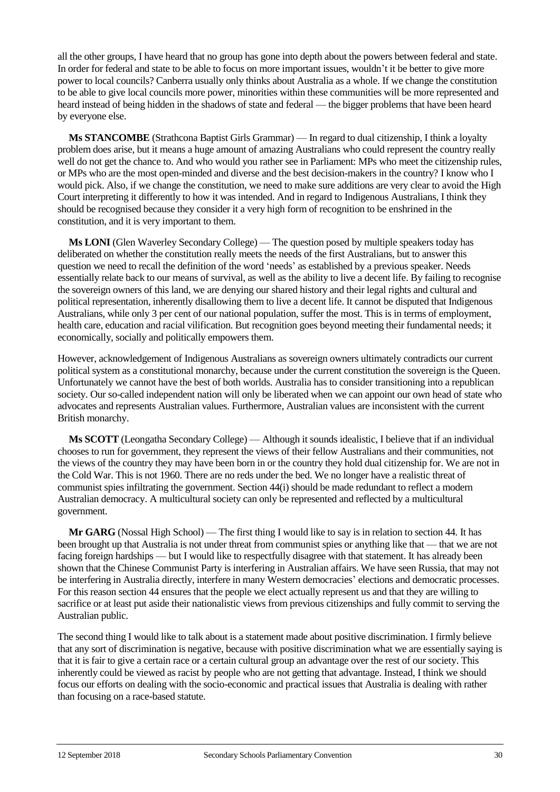all the other groups, I have heard that no group has gone into depth about the powers between federal and state. In order for federal and state to be able to focus on more important issues, wouldn't it be better to give more power to local councils? Canberra usually only thinks about Australia as a whole. If we change the constitution to be able to give local councils more power, minorities within these communities will be more represented and heard instead of being hidden in the shadows of state and federal — the bigger problems that have been heard by everyone else.

**Ms STANCOMBE** (Strathcona Baptist Girls Grammar) — In regard to dual citizenship, I think a loyalty problem does arise, but it means a huge amount of amazing Australians who could represent the country really well do not get the chance to. And who would you rather see in Parliament: MPs who meet the citizenship rules, or MPs who are the most open-minded and diverse and the best decision-makers in the country? I know who I would pick. Also, if we change the constitution, we need to make sure additions are very clear to avoid the High Court interpreting it differently to how it was intended. And in regard to Indigenous Australians, I think they should be recognised because they consider it a very high form of recognition to be enshrined in the constitution, and it is very important to them.

**Ms LONI** (Glen Waverley Secondary College) — The question posed by multiple speakers today has deliberated on whether the constitution really meets the needs of the first Australians, but to answer this question we need to recall the definition of the word 'needs' as established by a previous speaker. Needs essentially relate back to our means of survival, as well as the ability to live a decent life. By failing to recognise the sovereign owners of this land, we are denying our shared history and their legal rights and cultural and political representation, inherently disallowing them to live a decent life. It cannot be disputed that Indigenous Australians, while only 3 per cent of our national population, suffer the most. This is in terms of employment, health care, education and racial vilification. But recognition goes beyond meeting their fundamental needs; it economically, socially and politically empowers them.

However, acknowledgement of Indigenous Australians as sovereign owners ultimately contradicts our current political system as a constitutional monarchy, because under the current constitution the sovereign is the Queen. Unfortunately we cannot have the best of both worlds. Australia has to consider transitioning into a republican society. Our so-called independent nation will only be liberated when we can appoint our own head of state who advocates and represents Australian values. Furthermore, Australian values are inconsistent with the current British monarchy.

**Ms SCOTT** (Leongatha Secondary College) — Although it sounds idealistic, I believe that if an individual chooses to run for government, they represent the views of their fellow Australians and their communities, not the views of the country they may have been born in or the country they hold dual citizenship for. We are not in the Cold War. This is not 1960. There are no reds under the bed. We no longer have a realistic threat of communist spies infiltrating the government. Section 44(i) should be made redundant to reflect a modern Australian democracy. A multicultural society can only be represented and reflected by a multicultural government.

**Mr GARG** (Nossal High School) — The first thing I would like to say is in relation to section 44. It has been brought up that Australia is not under threat from communist spies or anything like that — that we are not facing foreign hardships — but I would like to respectfully disagree with that statement. It has already been shown that the Chinese Communist Party is interfering in Australian affairs. We have seen Russia, that may not be interfering in Australia directly, interfere in many Western democracies' elections and democratic processes. For this reason section 44 ensures that the people we elect actually represent us and that they are willing to sacrifice or at least put aside their nationalistic views from previous citizenships and fully commit to serving the Australian public.

The second thing I would like to talk about is a statement made about positive discrimination. I firmly believe that any sort of discrimination is negative, because with positive discrimination what we are essentially saying is that it is fair to give a certain race or a certain cultural group an advantage over the rest of our society. This inherently could be viewed as racist by people who are not getting that advantage. Instead, I think we should focus our efforts on dealing with the socio-economic and practical issues that Australia is dealing with rather than focusing on a race-based statute.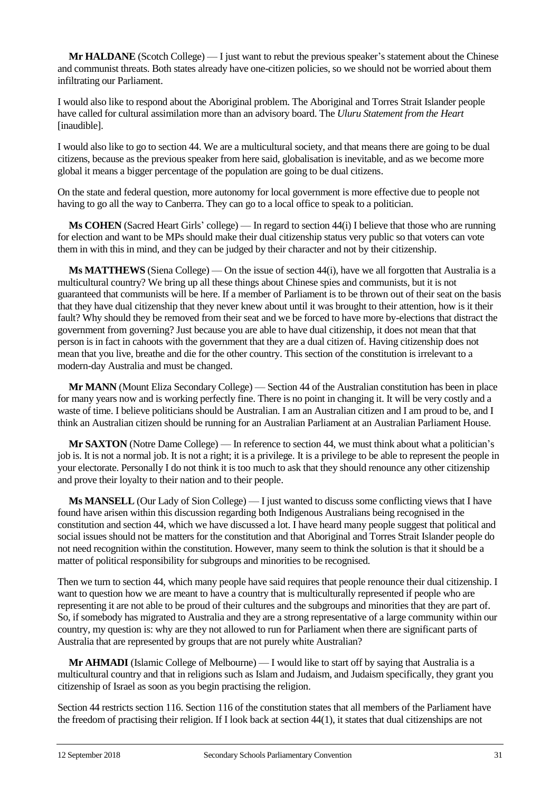**Mr HALDANE** (Scotch College) — I just want to rebut the previous speaker's statement about the Chinese and communist threats. Both states already have one-citizen policies, so we should not be worried about them infiltrating our Parliament.

I would also like to respond about the Aboriginal problem. The Aboriginal and Torres Strait Islander people have called for cultural assimilation more than an advisory board. The *Uluru Statement from the Heart* [inaudible].

I would also like to go to section 44. We are a multicultural society, and that means there are going to be dual citizens, because as the previous speaker from here said, globalisation is inevitable, and as we become more global it means a bigger percentage of the population are going to be dual citizens.

On the state and federal question, more autonomy for local government is more effective due to people not having to go all the way to Canberra. They can go to a local office to speak to a politician.

**Ms COHEN** (Sacred Heart Girls' college) — In regard to section 44(i) I believe that those who are running for election and want to be MPs should make their dual citizenship status very public so that voters can vote them in with this in mind, and they can be judged by their character and not by their citizenship.

**Ms MATTHEWS** (Siena College) — On the issue of section 44(i), have we all forgotten that Australia is a multicultural country? We bring up all these things about Chinese spies and communists, but it is not guaranteed that communists will be here. If a member of Parliament is to be thrown out of their seat on the basis that they have dual citizenship that they never knew about until it was brought to their attention, how is it their fault? Why should they be removed from their seat and we be forced to have more by-elections that distract the government from governing? Just because you are able to have dual citizenship, it does not mean that that person is in fact in cahoots with the government that they are a dual citizen of. Having citizenship does not mean that you live, breathe and die for the other country. This section of the constitution is irrelevant to a modern-day Australia and must be changed.

**Mr MANN** (Mount Eliza Secondary College) — Section 44 of the Australian constitution has been in place for many years now and is working perfectly fine. There is no point in changing it. It will be very costly and a waste of time. I believe politicians should be Australian. I am an Australian citizen and I am proud to be, and I think an Australian citizen should be running for an Australian Parliament at an Australian Parliament House.

**Mr SAXTON** (Notre Dame College) — In reference to section 44, we must think about what a politician's job is. It is not a normal job. It is not a right; it is a privilege. It is a privilege to be able to represent the people in your electorate. Personally I do not think it is too much to ask that they should renounce any other citizenship and prove their loyalty to their nation and to their people.

**Ms MANSELL** (Our Lady of Sion College) — I just wanted to discuss some conflicting views that I have found have arisen within this discussion regarding both Indigenous Australians being recognised in the constitution and section 44, which we have discussed a lot. I have heard many people suggest that political and social issues should not be matters for the constitution and that Aboriginal and Torres Strait Islander people do not need recognition within the constitution. However, many seem to think the solution is that it should be a matter of political responsibility for subgroups and minorities to be recognised.

Then we turn to section 44, which many people have said requires that people renounce their dual citizenship. I want to question how we are meant to have a country that is multiculturally represented if people who are representing it are not able to be proud of their cultures and the subgroups and minorities that they are part of. So, if somebody has migrated to Australia and they are a strong representative of a large community within our country, my question is: why are they not allowed to run for Parliament when there are significant parts of Australia that are represented by groups that are not purely white Australian?

**Mr AHMADI** (Islamic College of Melbourne) — I would like to start off by saying that Australia is a multicultural country and that in religions such as Islam and Judaism, and Judaism specifically, they grant you citizenship of Israel as soon as you begin practising the religion.

Section 44 restricts section 116. Section 116 of the constitution states that all members of the Parliament have the freedom of practising their religion. If I look back at section 44(1), it states that dual citizenships are not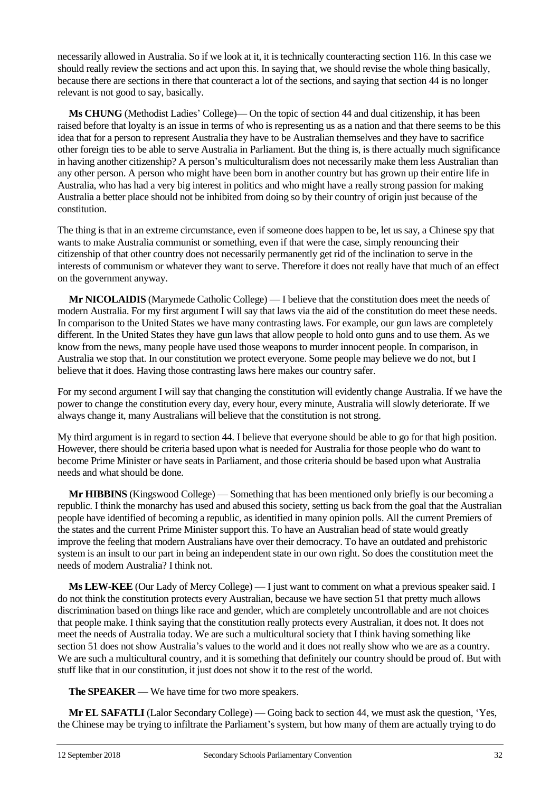necessarily allowed in Australia. So if we look at it, it is technically counteracting section 116. In this case we should really review the sections and act upon this. In saying that, we should revise the whole thing basically, because there are sections in there that counteract a lot of the sections, and saying that section 44 is no longer relevant is not good to say, basically.

**Ms CHUNG** (Methodist Ladies' College)— On the topic of section 44 and dual citizenship, it has been raised before that loyalty is an issue in terms of who is representing us as a nation and that there seems to be this idea that for a person to represent Australia they have to be Australian themselves and they have to sacrifice other foreign ties to be able to serve Australia in Parliament. But the thing is, is there actually much significance in having another citizenship? A person's multiculturalism does not necessarily make them less Australian than any other person. A person who might have been born in another country but has grown up their entire life in Australia, who has had a very big interest in politics and who might have a really strong passion for making Australia a better place should not be inhibited from doing so by their country of origin just because of the constitution.

The thing is that in an extreme circumstance, even if someone does happen to be, let us say, a Chinese spy that wants to make Australia communist or something, even if that were the case, simply renouncing their citizenship of that other country does not necessarily permanently get rid of the inclination to serve in the interests of communism or whatever they want to serve. Therefore it does not really have that much of an effect on the government anyway.

**Mr NICOLAIDIS** (Marymede Catholic College) — I believe that the constitution does meet the needs of modern Australia. For my first argument I will say that laws via the aid of the constitution do meet these needs. In comparison to the United States we have many contrasting laws. For example, our gun laws are completely different. In the United States they have gun laws that allow people to hold onto guns and to use them. As we know from the news, many people have used those weapons to murder innocent people. In comparison, in Australia we stop that. In our constitution we protect everyone. Some people may believe we do not, but I believe that it does. Having those contrasting laws here makes our country safer.

For my second argument I will say that changing the constitution will evidently change Australia. If we have the power to change the constitution every day, every hour, every minute, Australia will slowly deteriorate. If we always change it, many Australians will believe that the constitution is not strong.

My third argument is in regard to section 44. I believe that everyone should be able to go for that high position. However, there should be criteria based upon what is needed for Australia for those people who do want to become Prime Minister or have seats in Parliament, and those criteria should be based upon what Australia needs and what should be done.

**Mr HIBBINS** (Kingswood College) — Something that has been mentioned only briefly is our becoming a republic. I think the monarchy has used and abused this society, setting us back from the goal that the Australian people have identified of becoming a republic, as identified in many opinion polls. All the current Premiers of the states and the current Prime Minister support this. To have an Australian head of state would greatly improve the feeling that modern Australians have over their democracy. To have an outdated and prehistoric system is an insult to our part in being an independent state in our own right. So does the constitution meet the needs of modern Australia? I think not.

**Ms LEW-KEE** (Our Lady of Mercy College) — I just want to comment on what a previous speaker said. I do not think the constitution protects every Australian, because we have section 51 that pretty much allows discrimination based on things like race and gender, which are completely uncontrollable and are not choices that people make. I think saying that the constitution really protects every Australian, it does not. It does not meet the needs of Australia today. We are such a multicultural society that I think having something like section 51 does not show Australia's values to the world and it does not really show who we are as a country. We are such a multicultural country, and it is something that definitely our country should be proud of. But with stuff like that in our constitution, it just does not show it to the rest of the world.

**The SPEAKER** — We have time for two more speakers.

**Mr EL SAFATLI** (Lalor Secondary College) — Going back to section 44, we must ask the question, 'Yes, the Chinese may be trying to infiltrate the Parliament's system, but how many of them are actually trying to do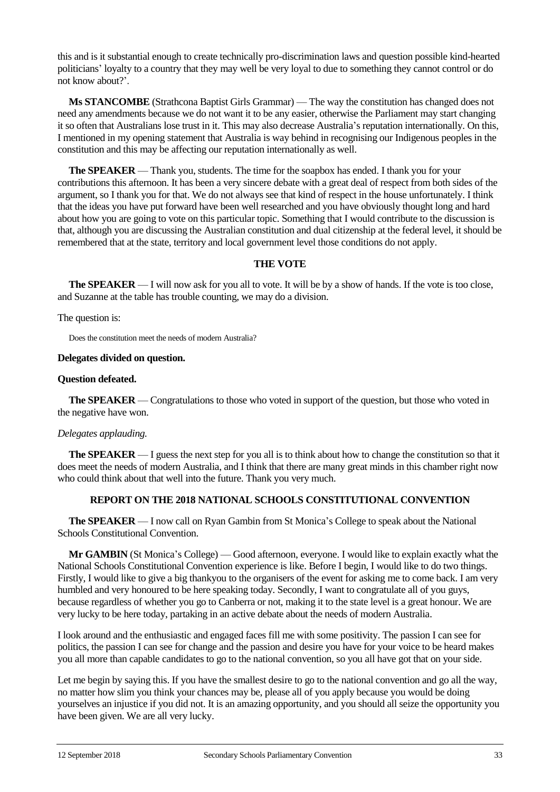this and is it substantial enough to create technically pro-discrimination laws and question possible kind-hearted politicians' loyalty to a country that they may well be very loyal to due to something they cannot control or do not know about?'.

**Ms STANCOMBE** (Strathcona Baptist Girls Grammar) — The way the constitution has changed does not need any amendments because we do not want it to be any easier, otherwise the Parliament may start changing it so often that Australians lose trust in it. This may also decrease Australia's reputation internationally. On this, I mentioned in my opening statement that Australia is way behind in recognising our Indigenous peoples in the constitution and this may be affecting our reputation internationally as well.

**The SPEAKER** — Thank you, students. The time for the soapbox has ended. I thank you for your contributions this afternoon. It has been a very sincere debate with a great deal of respect from both sides of the argument, so I thank you for that. We do not always see that kind of respect in the house unfortunately. I think that the ideas you have put forward have been well researched and you have obviously thought long and hard about how you are going to vote on this particular topic. Something that I would contribute to the discussion is that, although you are discussing the Australian constitution and dual citizenship at the federal level, it should be remembered that at the state, territory and local government level those conditions do not apply.

#### **THE VOTE**

**The SPEAKER** — I will now ask for you all to vote. It will be by a show of hands. If the vote is too close, and Suzanne at the table has trouble counting, we may do a division.

#### The question is:

Does the constitution meet the needs of modern Australia?

#### **Delegates divided on question.**

#### **Question defeated.**

**The SPEAKER** — Congratulations to those who voted in support of the question, but those who voted in the negative have won.

#### *Delegates applauding.*

**The SPEAKER** — I guess the next step for you all is to think about how to change the constitution so that it does meet the needs of modern Australia, and I think that there are many great minds in this chamber right now who could think about that well into the future. Thank you very much.

## **REPORT ON THE 2018 NATIONAL SCHOOLS CONSTITUTIONAL CONVENTION**

**The SPEAKER** — I now call on Ryan Gambin from St Monica's College to speak about the National Schools Constitutional Convention.

**Mr GAMBIN** (St Monica's College) — Good afternoon, everyone. I would like to explain exactly what the National Schools Constitutional Convention experience is like. Before I begin, I would like to do two things. Firstly, I would like to give a big thankyou to the organisers of the event for asking me to come back. I am very humbled and very honoured to be here speaking today. Secondly, I want to congratulate all of you guys, because regardless of whether you go to Canberra or not, making it to the state level is a great honour. We are very lucky to be here today, partaking in an active debate about the needs of modern Australia.

I look around and the enthusiastic and engaged faces fill me with some positivity. The passion I can see for politics, the passion I can see for change and the passion and desire you have for your voice to be heard makes you all more than capable candidates to go to the national convention, so you all have got that on your side.

Let me begin by saying this. If you have the smallest desire to go to the national convention and go all the way, no matter how slim you think your chances may be, please all of you apply because you would be doing yourselves an injustice if you did not. It is an amazing opportunity, and you should all seize the opportunity you have been given. We are all very lucky.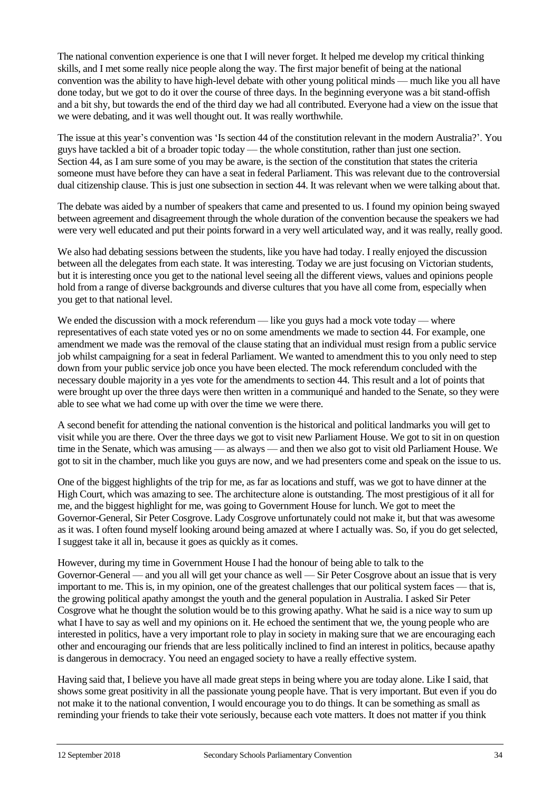The national convention experience is one that I will never forget. It helped me develop my critical thinking skills, and I met some really nice people along the way. The first major benefit of being at the national convention was the ability to have high-level debate with other young political minds — much like you all have done today, but we got to do it over the course of three days. In the beginning everyone was a bit stand-offish and a bit shy, but towards the end of the third day we had all contributed. Everyone had a view on the issue that we were debating, and it was well thought out. It was really worthwhile.

The issue at this year's convention was 'Is section 44 of the constitution relevant in the modern Australia?'. You guys have tackled a bit of a broader topic today — the whole constitution, rather than just one section. Section 44, as I am sure some of you may be aware, is the section of the constitution that states the criteria someone must have before they can have a seat in federal Parliament. This was relevant due to the controversial dual citizenship clause. This is just one subsection in section 44. It was relevant when we were talking about that.

The debate was aided by a number of speakers that came and presented to us. I found my opinion being swayed between agreement and disagreement through the whole duration of the convention because the speakers we had were very well educated and put their points forward in a very well articulated way, and it was really, really good.

We also had debating sessions between the students, like you have had today. I really enjoyed the discussion between all the delegates from each state. It was interesting. Today we are just focusing on Victorian students, but it is interesting once you get to the national level seeing all the different views, values and opinions people hold from a range of diverse backgrounds and diverse cultures that you have all come from, especially when you get to that national level.

We ended the discussion with a mock referendum — like you guys had a mock vote today — where representatives of each state voted yes or no on some amendments we made to section 44. For example, one amendment we made was the removal of the clause stating that an individual must resign from a public service job whilst campaigning for a seat in federal Parliament. We wanted to amendment this to you only need to step down from your public service job once you have been elected. The mock referendum concluded with the necessary double majority in a yes vote for the amendments to section 44. This result and a lot of points that were brought up over the three days were then written in a communiqué and handed to the Senate, so they were able to see what we had come up with over the time we were there.

A second benefit for attending the national convention is the historical and political landmarks you will get to visit while you are there. Over the three days we got to visit new Parliament House. We got to sit in on question time in the Senate, which was amusing — as always — and then we also got to visit old Parliament House. We got to sit in the chamber, much like you guys are now, and we had presenters come and speak on the issue to us.

One of the biggest highlights of the trip for me, as far as locations and stuff, was we got to have dinner at the High Court, which was amazing to see. The architecture alone is outstanding. The most prestigious of it all for me, and the biggest highlight for me, was going to Government House for lunch. We got to meet the Governor-General, Sir Peter Cosgrove. Lady Cosgrove unfortunately could not make it, but that was awesome as it was. I often found myself looking around being amazed at where I actually was. So, if you do get selected, I suggest take it all in, because it goes as quickly as it comes.

However, during my time in Government House I had the honour of being able to talk to the Governor-General — and you all will get your chance as well — Sir Peter Cosgrove about an issue that is very important to me. This is, in my opinion, one of the greatest challenges that our political system faces — that is, the growing political apathy amongst the youth and the general population in Australia. I asked Sir Peter Cosgrove what he thought the solution would be to this growing apathy. What he said is a nice way to sum up what I have to say as well and my opinions on it. He echoed the sentiment that we, the young people who are interested in politics, have a very important role to play in society in making sure that we are encouraging each other and encouraging our friends that are less politically inclined to find an interest in politics, because apathy is dangerous in democracy. You need an engaged society to have a really effective system.

Having said that, I believe you have all made great steps in being where you are today alone. Like I said, that shows some great positivity in all the passionate young people have. That is very important. But even if you do not make it to the national convention, I would encourage you to do things. It can be something as small as reminding your friends to take their vote seriously, because each vote matters. It does not matter if you think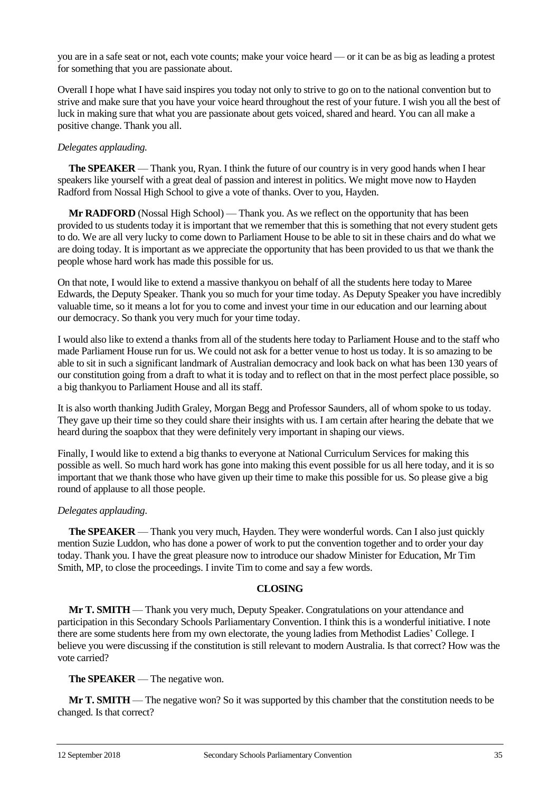you are in a safe seat or not, each vote counts; make your voice heard — or it can be as big as leading a protest for something that you are passionate about.

Overall I hope what I have said inspires you today not only to strive to go on to the national convention but to strive and make sure that you have your voice heard throughout the rest of your future. I wish you all the best of luck in making sure that what you are passionate about gets voiced, shared and heard. You can all make a positive change. Thank you all.

## *Delegates applauding.*

**The SPEAKER** — Thank you, Ryan. I think the future of our country is in very good hands when I hear speakers like yourself with a great deal of passion and interest in politics. We might move now to Hayden Radford from Nossal High School to give a vote of thanks. Over to you, Hayden.

**Mr RADFORD** (Nossal High School) — Thank you. As we reflect on the opportunity that has been provided to us students today it is important that we remember that this is something that not every student gets to do. We are all very lucky to come down to Parliament House to be able to sit in these chairs and do what we are doing today. It is important as we appreciate the opportunity that has been provided to us that we thank the people whose hard work has made this possible for us.

On that note, I would like to extend a massive thankyou on behalf of all the students here today to Maree Edwards, the Deputy Speaker. Thank you so much for your time today. As Deputy Speaker you have incredibly valuable time, so it means a lot for you to come and invest your time in our education and our learning about our democracy. So thank you very much for your time today.

I would also like to extend a thanks from all of the students here today to Parliament House and to the staff who made Parliament House run for us. We could not ask for a better venue to host us today. It is so amazing to be able to sit in such a significant landmark of Australian democracy and look back on what has been 130 years of our constitution going from a draft to what it is today and to reflect on that in the most perfect place possible, so a big thankyou to Parliament House and all its staff.

It is also worth thanking Judith Graley, Morgan Begg and Professor Saunders, all of whom spoke to us today. They gave up their time so they could share their insights with us. I am certain after hearing the debate that we heard during the soapbox that they were definitely very important in shaping our views.

Finally, I would like to extend a big thanks to everyone at National Curriculum Services for making this possible as well. So much hard work has gone into making this event possible for us all here today, and it is so important that we thank those who have given up their time to make this possible for us. So please give a big round of applause to all those people.

#### *Delegates applauding*.

**The SPEAKER** — Thank you very much, Hayden. They were wonderful words. Can I also just quickly mention Suzie Luddon, who has done a power of work to put the convention together and to order your day today. Thank you. I have the great pleasure now to introduce our shadow Minister for Education, Mr Tim Smith, MP, to close the proceedings. I invite Tim to come and say a few words.

#### **CLOSING**

**Mr T. SMITH** — Thank you very much, Deputy Speaker. Congratulations on your attendance and participation in this Secondary Schools Parliamentary Convention. I think this is a wonderful initiative. I note there are some students here from my own electorate, the young ladies from Methodist Ladies' College. I believe you were discussing if the constitution is still relevant to modern Australia. Is that correct? How was the vote carried?

# **The SPEAKER** — The negative won.

**Mr T. SMITH** — The negative won? So it was supported by this chamber that the constitution needs to be changed. Is that correct?